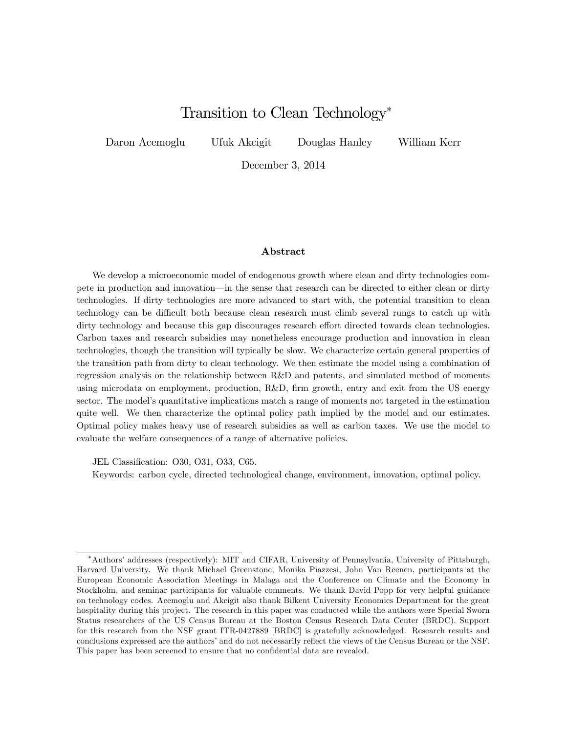# Transition to Clean Technology

Daron Acemoglu Ufuk Akcigit Douglas Hanley William Kerr

December 3, 2014

#### Abstract

We develop a microeconomic model of endogenous growth where clean and dirty technologies compete in production and innovation—in the sense that research can be directed to either clean or dirty technologies. If dirty technologies are more advanced to start with, the potential transition to clean technology can be difficult both because clean research must climb several rungs to catch up with dirty technology and because this gap discourages research effort directed towards clean technologies. Carbon taxes and research subsidies may nonetheless encourage production and innovation in clean technologies, though the transition will typically be slow. We characterize certain general properties of the transition path from dirty to clean technology. We then estimate the model using a combination of regression analysis on the relationship between R&D and patents, and simulated method of moments using microdata on employment, production, R&D, firm growth, entry and exit from the US energy sector. The model's quantitative implications match a range of moments not targeted in the estimation quite well. We then characterize the optimal policy path implied by the model and our estimates. Optimal policy makes heavy use of research subsidies as well as carbon taxes. We use the model to evaluate the welfare consequences of a range of alternative policies.

JEL Classification: O30, O31, O33, C65.

Keywords: carbon cycle, directed technological change, environment, innovation, optimal policy.

<sup>\*</sup>Authors' addresses (respectively): MIT and CIFAR, University of Pennsylvania, University of Pittsburgh, Harvard University. We thank Michael Greenstone, Monika Piazzesi, John Van Reenen, participants at the European Economic Association Meetings in Malaga and the Conference on Climate and the Economy in Stockholm, and seminar participants for valuable comments. We thank David Popp for very helpful guidance on technology codes. Acemoglu and Akcigit also thank Bilkent University Economics Department for the great hospitality during this project. The research in this paper was conducted while the authors were Special Sworn Status researchers of the US Census Bureau at the Boston Census Research Data Center (BRDC). Support for this research from the NSF grant ITR-0427889 [BRDC] is gratefully acknowledged. Research results and conclusions expressed are the authors' and do not necessarily reflect the views of the Census Bureau or the NSF. This paper has been screened to ensure that no confidential data are revealed.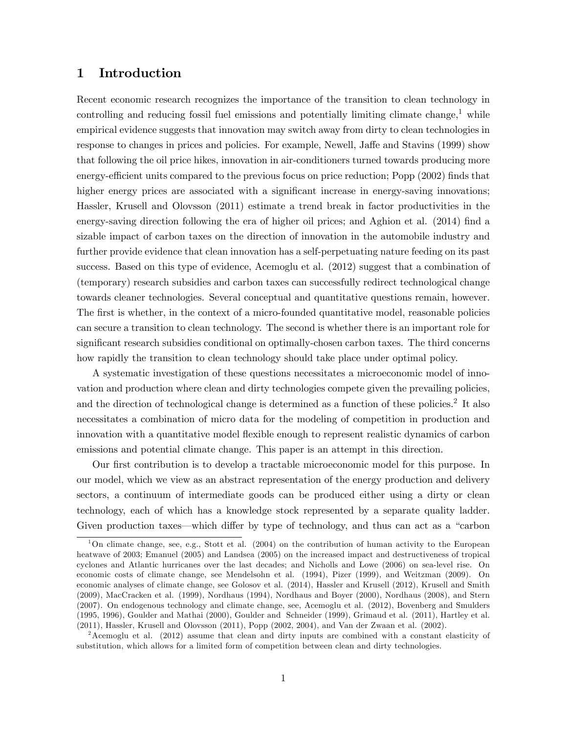# 1 Introduction

Recent economic research recognizes the importance of the transition to clean technology in controlling and reducing fossil fuel emissions and potentially limiting climate change, $\frac{1}{1}$  while empirical evidence suggests that innovation may switch away from dirty to clean technologies in response to changes in prices and policies. For example, Newell, Jaffe and Stavins (1999) show that following the oil price hikes, innovation in air-conditioners turned towards producing more energy-efficient units compared to the previous focus on price reduction; Popp (2002) finds that higher energy prices are associated with a significant increase in energy-saving innovations; Hassler, Krusell and Olovsson (2011) estimate a trend break in factor productivities in the energy-saving direction following the era of higher oil prices; and Aghion et al. (2014) find a sizable impact of carbon taxes on the direction of innovation in the automobile industry and further provide evidence that clean innovation has a self-perpetuating nature feeding on its past success. Based on this type of evidence, Acemoglu et al. (2012) suggest that a combination of (temporary) research subsidies and carbon taxes can successfully redirect technological change towards cleaner technologies. Several conceptual and quantitative questions remain, however. The first is whether, in the context of a micro-founded quantitative model, reasonable policies can secure a transition to clean technology. The second is whether there is an important role for significant research subsidies conditional on optimally-chosen carbon taxes. The third concerns how rapidly the transition to clean technology should take place under optimal policy.

A systematic investigation of these questions necessitates a microeconomic model of innovation and production where clean and dirty technologies compete given the prevailing policies, and the direction of technological change is determined as a function of these policies.<sup>2</sup> It also necessitates a combination of micro data for the modeling of competition in production and innovation with a quantitative model flexible enough to represent realistic dynamics of carbon emissions and potential climate change. This paper is an attempt in this direction.

Our first contribution is to develop a tractable microeconomic model for this purpose. In our model, which we view as an abstract representation of the energy production and delivery sectors, a continuum of intermediate goods can be produced either using a dirty or clean technology, each of which has a knowledge stock represented by a separate quality ladder. Given production taxes—which differ by type of technology, and thus can act as a "carbon"

<sup>2</sup> Acemoglu et al. (2012) assume that clean and dirty inputs are combined with a constant elasticity of substitution, which allows for a limited form of competition between clean and dirty technologies.

<sup>1</sup>On climate change, see, e.g., Stott et al. (2004) on the contribution of human activity to the European heatwave of 2003; Emanuel (2005) and Landsea (2005) on the increased impact and destructiveness of tropical cyclones and Atlantic hurricanes over the last decades; and Nicholls and Lowe (2006) on sea-level rise. On economic costs of climate change, see Mendelsohn et al. (1994), Pizer (1999), and Weitzman (2009). On economic analyses of climate change, see Golosov et al. (2014), Hassler and Krusell (2012), Krusell and Smith (2009), MacCracken et al. (1999), Nordhaus (1994), Nordhaus and Boyer (2000), Nordhaus (2008), and Stern (2007). On endogenous technology and climate change, see, Acemoglu et al. (2012), Bovenberg and Smulders (1995, 1996), Goulder and Mathai (2000), Goulder and Schneider (1999), Grimaud et al. (2011), Hartley et al. (2011), Hassler, Krusell and Olovsson (2011), Popp (2002, 2004), and Van der Zwaan et al. (2002).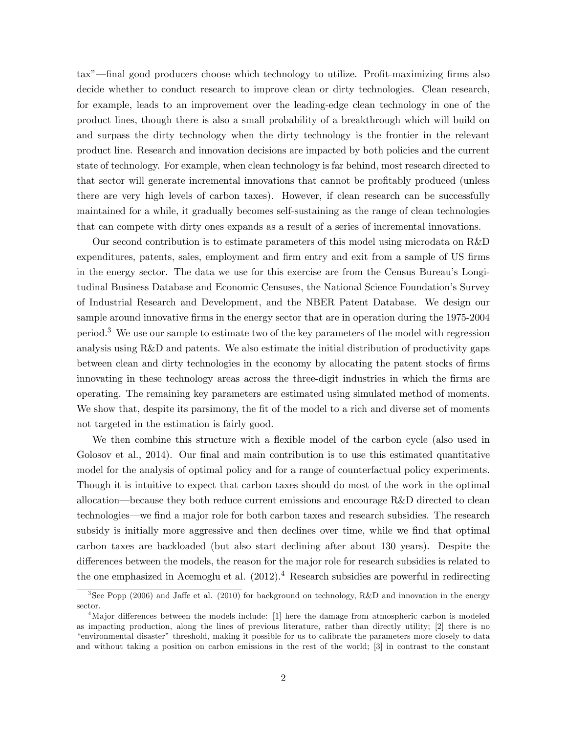tax"—final good producers choose which technology to utilize. Profit-maximizing firms also decide whether to conduct research to improve clean or dirty technologies. Clean research, for example, leads to an improvement over the leading-edge clean technology in one of the product lines, though there is also a small probability of a breakthrough which will build on and surpass the dirty technology when the dirty technology is the frontier in the relevant product line. Research and innovation decisions are impacted by both policies and the current state of technology. For example, when clean technology is far behind, most research directed to that sector will generate incremental innovations that cannot be profitably produced (unless there are very high levels of carbon taxes). However, if clean research can be successfully maintained for a while, it gradually becomes self-sustaining as the range of clean technologies that can compete with dirty ones expands as a result of a series of incremental innovations.

Our second contribution is to estimate parameters of this model using microdata on R&D expenditures, patents, sales, employment and firm entry and exit from a sample of US firms in the energy sector. The data we use for this exercise are from the Census Bureauís Longitudinal Business Database and Economic Censuses, the National Science Foundationís Survey of Industrial Research and Development, and the NBER Patent Database. We design our sample around innovative firms in the energy sector that are in operation during the 1975-2004 period.<sup>3</sup> We use our sample to estimate two of the key parameters of the model with regression analysis using R&D and patents. We also estimate the initial distribution of productivity gaps between clean and dirty technologies in the economy by allocating the patent stocks of firms innovating in these technology areas across the three-digit industries in which the firms are operating. The remaining key parameters are estimated using simulated method of moments. We show that, despite its parsimony, the fit of the model to a rich and diverse set of moments not targeted in the estimation is fairly good.

We then combine this structure with a flexible model of the carbon cycle (also used in Golosov et al., 2014). Our final and main contribution is to use this estimated quantitative model for the analysis of optimal policy and for a range of counterfactual policy experiments. Though it is intuitive to expect that carbon taxes should do most of the work in the optimal allocation—because they both reduce current emissions and encourage  $R\&D$  directed to clean technologies—we find a major role for both carbon taxes and research subsidies. The research subsidy is initially more aggressive and then declines over time, while we find that optimal carbon taxes are backloaded (but also start declining after about 130 years). Despite the differences between the models, the reason for the major role for research subsidies is related to the one emphasized in Acemoglu et al.  $(2012).<sup>4</sup>$  Research subsidies are powerful in redirecting

<sup>&</sup>lt;sup>3</sup>See Popp (2006) and Jaffe et al. (2010) for background on technology, R&D and innovation in the energy sector.

 $4$ Major differences between the models include: [1] here the damage from atmospheric carbon is modeled as impacting production, along the lines of previous literature, rather than directly utility; [2] there is no ìenvironmental disasterî threshold, making it possible for us to calibrate the parameters more closely to data and without taking a position on carbon emissions in the rest of the world; [3] in contrast to the constant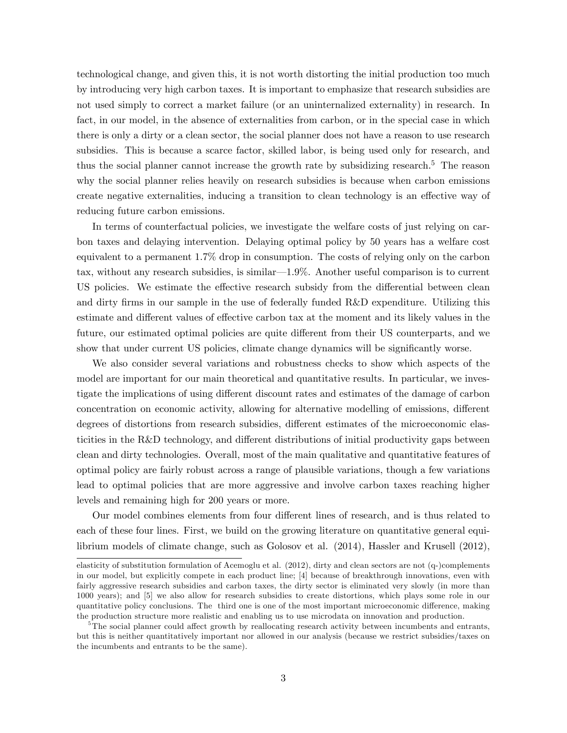technological change, and given this, it is not worth distorting the initial production too much by introducing very high carbon taxes. It is important to emphasize that research subsidies are not used simply to correct a market failure (or an uninternalized externality) in research. In fact, in our model, in the absence of externalities from carbon, or in the special case in which there is only a dirty or a clean sector, the social planner does not have a reason to use research subsidies. This is because a scarce factor, skilled labor, is being used only for research, and thus the social planner cannot increase the growth rate by subsidizing research.<sup>5</sup> The reason why the social planner relies heavily on research subsidies is because when carbon emissions create negative externalities, inducing a transition to clean technology is an effective way of reducing future carbon emissions.

In terms of counterfactual policies, we investigate the welfare costs of just relying on carbon taxes and delaying intervention. Delaying optimal policy by 50 years has a welfare cost equivalent to a permanent 1:7% drop in consumption. The costs of relying only on the carbon tax, without any research subsidies, is similar— $1.9\%$ . Another useful comparison is to current US policies. We estimate the effective research subsidy from the differential between clean and dirty firms in our sample in the use of federally funded  $R&D$  expenditure. Utilizing this estimate and different values of effective carbon tax at the moment and its likely values in the future, our estimated optimal policies are quite different from their US counterparts, and we show that under current US policies, climate change dynamics will be significantly worse.

We also consider several variations and robustness checks to show which aspects of the model are important for our main theoretical and quantitative results. In particular, we investigate the implications of using different discount rates and estimates of the damage of carbon concentration on economic activity, allowing for alternative modelling of emissions, different degrees of distortions from research subsidies, different estimates of the microeconomic elasticities in the R&D technology, and different distributions of initial productivity gaps between clean and dirty technologies. Overall, most of the main qualitative and quantitative features of optimal policy are fairly robust across a range of plausible variations, though a few variations lead to optimal policies that are more aggressive and involve carbon taxes reaching higher levels and remaining high for 200 years or more.

Our model combines elements from four different lines of research, and is thus related to each of these four lines. First, we build on the growing literature on quantitative general equilibrium models of climate change, such as Golosov et al. (2014), Hassler and Krusell (2012),

elasticity of substitution formulation of Acemoglu et al. (2012), dirty and clean sectors are not (q-)complements in our model, but explicitly compete in each product line; [4] because of breakthrough innovations, even with fairly aggressive research subsidies and carbon taxes, the dirty sector is eliminated very slowly (in more than 1000 years); and [5] we also allow for research subsidies to create distortions, which plays some role in our quantitative policy conclusions. The third one is one of the most important microeconomic difference, making the production structure more realistic and enabling us to use microdata on innovation and production.

 $5$ The social planner could affect growth by reallocating research activity between incumbents and entrants, but this is neither quantitatively important nor allowed in our analysis (because we restrict subsidies/taxes on the incumbents and entrants to be the same).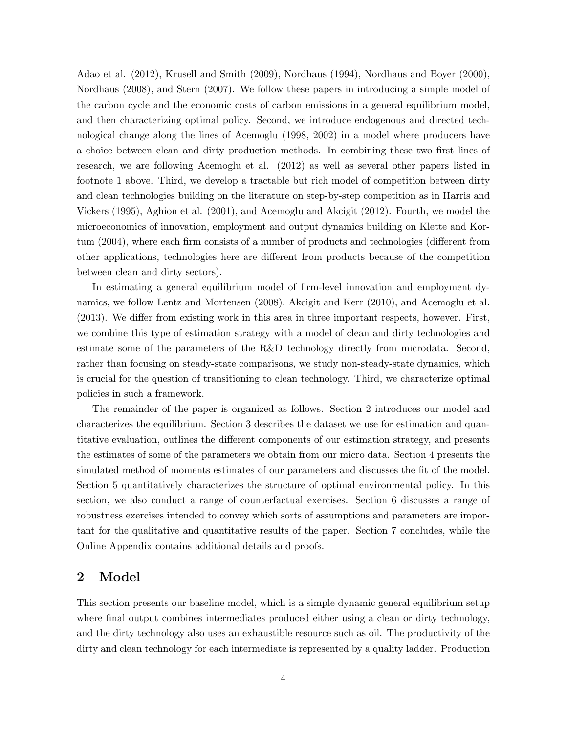Adao et al. (2012), Krusell and Smith (2009), Nordhaus (1994), Nordhaus and Boyer (2000), Nordhaus (2008), and Stern (2007). We follow these papers in introducing a simple model of the carbon cycle and the economic costs of carbon emissions in a general equilibrium model, and then characterizing optimal policy. Second, we introduce endogenous and directed technological change along the lines of Acemoglu (1998, 2002) in a model where producers have a choice between clean and dirty production methods. In combining these two first lines of research, we are following Acemoglu et al. (2012) as well as several other papers listed in footnote 1 above. Third, we develop a tractable but rich model of competition between dirty and clean technologies building on the literature on step-by-step competition as in Harris and Vickers (1995), Aghion et al. (2001), and Acemoglu and Akcigit (2012). Fourth, we model the microeconomics of innovation, employment and output dynamics building on Klette and Kortum (2004), where each firm consists of a number of products and technologies (different from other applications, technologies here are different from products because of the competition between clean and dirty sectors).

In estimating a general equilibrium model of firm-level innovation and employment dynamics, we follow Lentz and Mortensen (2008), Akcigit and Kerr (2010), and Acemoglu et al.  $(2013)$ . We differ from existing work in this area in three important respects, however. First, we combine this type of estimation strategy with a model of clean and dirty technologies and estimate some of the parameters of the R&D technology directly from microdata. Second, rather than focusing on steady-state comparisons, we study non-steady-state dynamics, which is crucial for the question of transitioning to clean technology. Third, we characterize optimal policies in such a framework.

The remainder of the paper is organized as follows. Section 2 introduces our model and characterizes the equilibrium. Section 3 describes the dataset we use for estimation and quantitative evaluation, outlines the different components of our estimation strategy, and presents the estimates of some of the parameters we obtain from our micro data. Section 4 presents the simulated method of moments estimates of our parameters and discusses the fit of the model. Section 5 quantitatively characterizes the structure of optimal environmental policy. In this section, we also conduct a range of counterfactual exercises. Section 6 discusses a range of robustness exercises intended to convey which sorts of assumptions and parameters are important for the qualitative and quantitative results of the paper. Section 7 concludes, while the Online Appendix contains additional details and proofs.

# 2 Model

This section presents our baseline model, which is a simple dynamic general equilibrium setup where final output combines intermediates produced either using a clean or dirty technology, and the dirty technology also uses an exhaustible resource such as oil. The productivity of the dirty and clean technology for each intermediate is represented by a quality ladder. Production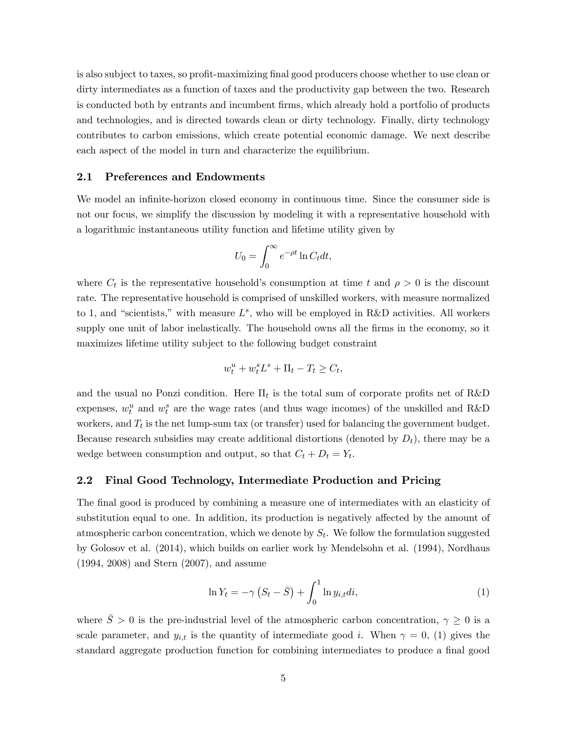is also subject to taxes, so profit-maximizing final good producers choose whether to use clean or dirty intermediates as a function of taxes and the productivity gap between the two. Research is conducted both by entrants and incumbent firms, which already hold a portfolio of products and technologies, and is directed towards clean or dirty technology. Finally, dirty technology contributes to carbon emissions, which create potential economic damage. We next describe each aspect of the model in turn and characterize the equilibrium.

#### 2.1 Preferences and Endowments

We model an infinite-horizon closed economy in continuous time. Since the consumer side is not our focus, we simplify the discussion by modeling it with a representative household with a logarithmic instantaneous utility function and lifetime utility given by

$$
U_0 = \int_0^\infty e^{-\rho t} \ln C_t dt,
$$

where  $C_t$  is the representative household's consumption at time t and  $\rho > 0$  is the discount rate. The representative household is comprised of unskilled workers, with measure normalized to 1, and "scientists," with measure  $L^s$ , who will be employed in R&D activities. All workers supply one unit of labor inelastically. The household owns all the firms in the economy, so it maximizes lifetime utility subject to the following budget constraint

$$
w_t^u + w_t^s L^s + \Pi_t - T_t \ge C_t,
$$

and the usual no Ponzi condition. Here  $\Pi_t$  is the total sum of corporate profits net of R&D expenses,  $w_t^u$  and  $w_t^s$  are the wage rates (and thus wage incomes) of the unskilled and R&D workers, and  $T_t$  is the net lump-sum tax (or transfer) used for balancing the government budget. Because research subsidies may create additional distortions (denoted by  $D_t$ ), there may be a wedge between consumption and output, so that  $C_t + D_t = Y_t$ .

### 2.2 Final Good Technology, Intermediate Production and Pricing

The final good is produced by combining a measure one of intermediates with an elasticity of substitution equal to one. In addition, its production is negatively affected by the amount of atmospheric carbon concentration, which we denote by  $S_t$ . We follow the formulation suggested by Golosov et al. (2014), which builds on earlier work by Mendelsohn et al. (1994), Nordhaus (1994, 2008) and Stern (2007), and assume

$$
\ln Y_t = -\gamma \left( S_t - \bar{S} \right) + \int_0^1 \ln y_{i,t} dt, \tag{1}
$$

where  $\bar{S} > 0$  is the pre-industrial level of the atmospheric carbon concentration,  $\gamma \geq 0$  is a scale parameter, and  $y_{i,t}$  is the quantity of intermediate good *i*. When  $\gamma = 0$ , (1) gives the standard aggregate production function for combining intermediates to produce a final good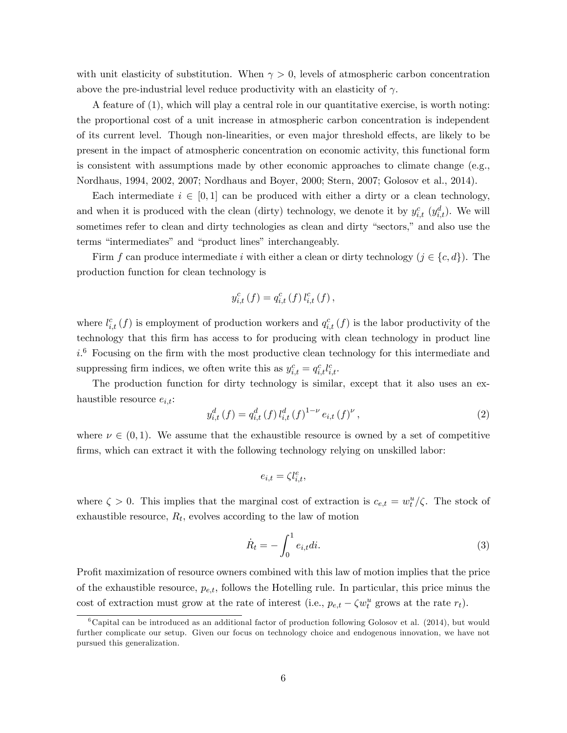with unit elasticity of substitution. When  $\gamma > 0$ , levels of atmospheric carbon concentration above the pre-industrial level reduce productivity with an elasticity of  $\gamma$ .

A feature of (1), which will play a central role in our quantitative exercise, is worth noting: the proportional cost of a unit increase in atmospheric carbon concentration is independent of its current level. Though non-linearities, or even major threshold effects, are likely to be present in the impact of atmospheric concentration on economic activity, this functional form is consistent with assumptions made by other economic approaches to climate change (e.g., Nordhaus, 1994, 2002, 2007; Nordhaus and Boyer, 2000; Stern, 2007; Golosov et al., 2014).

Each intermediate  $i \in [0, 1]$  can be produced with either a dirty or a clean technology, and when it is produced with the clean (dirty) technology, we denote it by  $y_{i,t}^c$   $(y_{i,t}^d)$ . We will sometimes refer to clean and dirty technologies as clean and dirty "sectors," and also use the terms "intermediates" and "product lines" interchangeably.

Firm f can produce intermediate i with either a clean or dirty technology  $(j \in \{c, d\})$ . The production function for clean technology is

$$
y_{i,t}^{c}(f) = q_{i,t}^{c}(f) l_{i,t}^{c}(f),
$$

where  $l_{i,t}^c(f)$  is employment of production workers and  $q_{i,t}^c(f)$  is the labor productivity of the technology that this firm has access to for producing with clean technology in product line  $i$ <sup>6</sup>. Focusing on the firm with the most productive clean technology for this intermediate and suppressing firm indices, we often write this as  $y_{i,t}^c = q_{i,t}^c l_{i,t}^c$ .

The production function for dirty technology is similar, except that it also uses an exhaustible resource  $e_{i,t}$ :

$$
y_{i,t}^d(f) = q_{i,t}^d(f) l_{i,t}^d(f)^{1-\nu} e_{i,t}(f)^{\nu}, \qquad (2)
$$

where  $\nu \in (0, 1)$ . We assume that the exhaustible resource is owned by a set of competitive firms, which can extract it with the following technology relying on unskilled labor:

$$
e_{i,t} = \zeta l_{i,t}^e,
$$

where  $\zeta > 0$ . This implies that the marginal cost of extraction is  $c_{e,t} = w_t^u/\zeta$ . The stock of exhaustible resource,  $R_t$ , evolves according to the law of motion

$$
\dot{R}_t = -\int_0^1 e_{i,t} dt.
$$
\n(3)

Profit maximization of resource owners combined with this law of motion implies that the price of the exhaustible resource,  $p_{e,t}$ , follows the Hotelling rule. In particular, this price minus the cost of extraction must grow at the rate of interest (i.e.,  $p_{e,t} - \zeta w_t^u$  grows at the rate  $r_t$ ).

 $6C$ apital can be introduced as an additional factor of production following Golosov et al. (2014), but would further complicate our setup. Given our focus on technology choice and endogenous innovation, we have not pursued this generalization.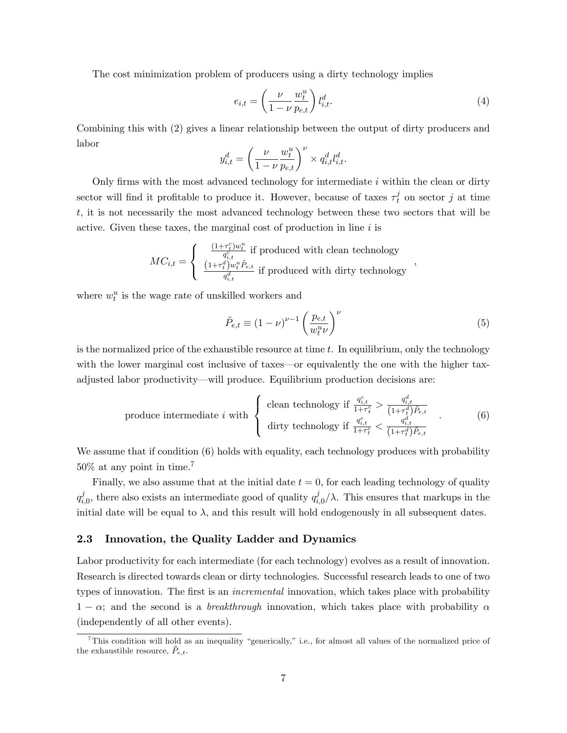The cost minimization problem of producers using a dirty technology implies

$$
e_{i,t} = \left(\frac{\nu}{1-\nu} \frac{w_t^u}{p_{e,t}}\right) l_{i,t}^d.
$$
\n
$$
(4)
$$

Combining this with (2) gives a linear relationship between the output of dirty producers and labor

$$
y_{i,t}^d = \left(\frac{\nu}{1-\nu} \frac{w_t^u}{p_{e,t}}\right)^{\nu} \times q_{i,t}^d l_{i,t}^d.
$$

Only firms with the most advanced technology for intermediate  $i$  within the clean or dirty sector will find it profitable to produce it. However, because of taxes  $\tau_t^j$  $t \text{ on sector } j \text{ at time}$ t, it is not necessarily the most advanced technology between these two sectors that will be active. Given these taxes, the marginal cost of production in line  $i$  is

$$
MC_{i,t} = \begin{cases} \frac{(1+\tau_t^c)w_t^u}{q_{i,t}^c} \text{ if produced with clean technology} \\ \frac{(1+\tau_t^d)w_t^u\tilde{P}_{e,t}}{q_{i,t}^d} \text{ if produced with dirty technology} \end{cases} ,
$$

where  $w_t^u$  is the wage rate of unskilled workers and

$$
\tilde{P}_{e,t} \equiv (1 - \nu)^{\nu - 1} \left(\frac{p_{e,t}}{w_t^u \nu}\right)^{\nu}
$$
\n(5)

is the normalized price of the exhaustible resource at time  $t$ . In equilibrium, only the technology with the lower marginal cost inclusive of taxes—or equivalently the one with the higher taxadjusted labor productivity—will produce. Equilibrium production decisions are:

produce intermediate *i* with\n
$$
\begin{cases}\n\text{clean technology if } \frac{q_{i,t}^c}{1+\tau_t^c} > \frac{q_{i,t}^d}{(1+\tau_t^d)\tilde{P}_{e,t}} \\
\text{dirty technology if } \frac{q_{i,t}^c}{1+\tau_t^c} < \frac{q_{i,t}^d}{(1+\tau_t^d)\tilde{P}_{e,t}}\n\end{cases} \tag{6}
$$

We assume that if condition  $(6)$  holds with equality, each technology produces with probability  $50\%$  at any point in time.<sup>7</sup>

Finally, we also assume that at the initial date  $t = 0$ , for each leading technology of quality  $q_i^j$  $i_{i,0}$ , there also exists an intermediate good of quality  $q_i^j$  $i_{i,0}^{j}/\lambda$ . This ensures that markups in the initial date will be equal to  $\lambda$ , and this result will hold endogenously in all subsequent dates.

### 2.3 Innovation, the Quality Ladder and Dynamics

Labor productivity for each intermediate (for each technology) evolves as a result of innovation. Research is directed towards clean or dirty technologies. Successful research leads to one of two types of innovation. The first is an *incremental* innovation, which takes place with probability  $1 - \alpha$ ; and the second is a *breakthrough* innovation, which takes place with probability  $\alpha$ (independently of all other events).

<sup>&</sup>lt;sup>7</sup>This condition will hold as an inequality "generically," i.e., for almost all values of the normalized price of the exhaustible resource,  $\tilde{P}_{e,t}$ .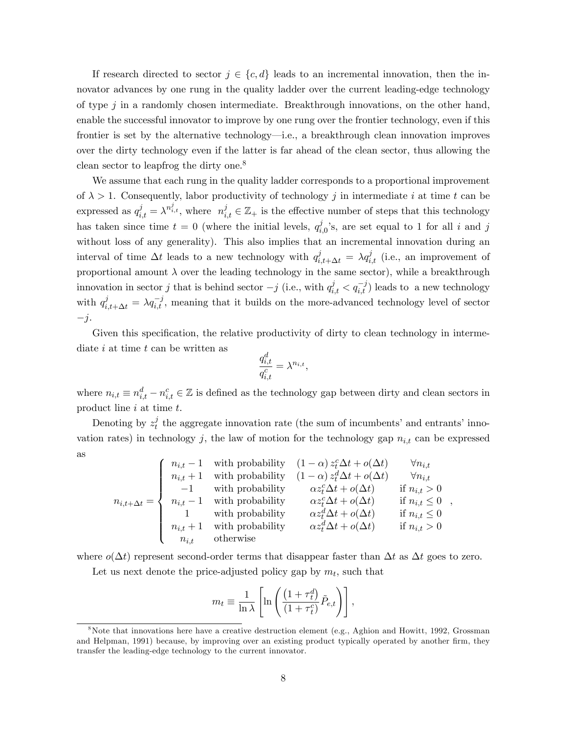If research directed to sector  $j \in \{c, d\}$  leads to an incremental innovation, then the innovator advances by one rung in the quality ladder over the current leading-edge technology of type  $j$  in a randomly chosen intermediate. Breakthrough innovations, on the other hand, enable the successful innovator to improve by one rung over the frontier technology, even if this frontier is set by the alternative technology—i.e., a breakthrough clean innovation improves over the dirty technology even if the latter is far ahead of the clean sector, thus allowing the clean sector to leapfrog the dirty one.<sup>8</sup>

We assume that each rung in the quality ladder corresponds to a proportional improvement of  $\lambda > 1$ . Consequently, labor productivity of technology j in intermediate i at time t can be expressed as  $q_{i,t}^j = \lambda^{n_{i,t}^j}$ , where  $n_{i,t}^j \in \mathbb{Z}_+$  is the effective number of steps that this technology has taken since time  $t = 0$  (where the initial levels,  $q_i^j$  $i<sub>i,0</sub>$ 's, are set equal to 1 for all i and j without loss of any generality). This also implies that an incremental innovation during an interval of time  $\Delta t$  leads to a new technology with  $q_{i,t+\Delta t}^j = \lambda q_{i,t}^j$  (i.e., an improvement of proportional amount  $\lambda$  over the leading technology in the same sector), while a breakthrough innovation in sector j that is behind sector  $-j$  (i.e., with  $q_{i,t}^j < q_{i,t}^{-j}$ ) leads to a new technology with  $q_{i,t+\Delta t}^j = \lambda q_{i,t}^{-j}$ , meaning that it builds on the more-advanced technology level of sector  $-j$ .

Given this specification, the relative productivity of dirty to clean technology in intermediate  $i$  at time  $t$  can be written as

$$
\frac{q_{i,t}^d}{q_{i,t}^c} = \lambda^{n_{i,t}},
$$

where  $n_{i,t} \equiv n_{i,t}^d - n_{i,t}^c \in \mathbb{Z}$  is defined as the technology gap between dirty and clean sectors in product line  $i$  at time  $t$ .

Denoting by  $z_t^j$  $t<sub>t</sub><sup>j</sup>$  the aggregate innovation rate (the sum of incumbents' and entrants' innovation rates) in technology j, the law of motion for the technology gap  $n_{i,t}$  can be expressed as

$$
n_{i,t+\Delta t} = \begin{cases} n_{i,t} - 1 & \text{with probability} \quad (1 - \alpha) z_t^c \Delta t + o(\Delta t) & \forall n_{i,t} \\ n_{i,t} + 1 & \text{with probability} \quad (1 - \alpha) z_t^d \Delta t + o(\Delta t) & \forall n_{i,t} \\ -1 & \text{with probability} \quad \alpha z_t^c \Delta t + o(\Delta t) & \text{if } n_{i,t} > 0 \\ n_{i,t} - 1 & \text{with probability} \quad \alpha z_t^c \Delta t + o(\Delta t) & \text{if } n_{i,t} \le 0 \\ 1 & \text{with probability} \quad \alpha z_t^d \Delta t + o(\Delta t) & \text{if } n_{i,t} \le 0 \\ n_{i,t} + 1 & \text{with probability} \quad \alpha z_t^d \Delta t + o(\Delta t) & \text{if } n_{i,t} > 0 \\ n_{i,t} & \text{otherwise} \end{cases}
$$

;

where  $o(\Delta t)$  represent second-order terms that disappear faster than  $\Delta t$  as  $\Delta t$  goes to zero. Let us next denote the price-adjusted policy gap by  $m_t$ , such that

$$
m_t \equiv \frac{1}{\ln \lambda} \left[ \ln \left( \frac{\left(1 + \tau_t^d\right)}{\left(1 + \tau_t^c\right)} \tilde{P}_{e,t} \right) \right],
$$

 $8\text{Note that innovations here have a creative destruction element (e.g., Aghion and Howitt, 1992, Grossman)$ and Helpman, 1991) because, by improving over an existing product typically operated by another firm, they transfer the leading-edge technology to the current innovator.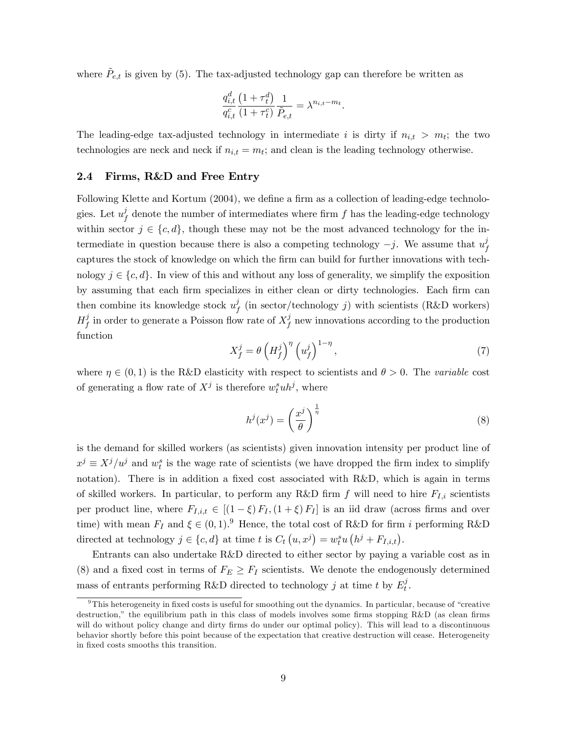where  $\tilde{P}_{e,t}$  is given by (5). The tax-adjusted technology gap can therefore be written as

$$
\frac{q_{i,t}^d}{q_{i,t}^c} \frac{\left(1 + \tau_t^d\right)}{\left(1 + \tau_t^c\right)} \frac{1}{\tilde{P}_{e,t}} = \lambda^{n_{i,t} - m_t}.
$$

The leading-edge tax-adjusted technology in intermediate i is dirty if  $n_{i,t} > m_t$ ; the two technologies are neck and neck if  $n_{i,t} = m_t$ ; and clean is the leading technology otherwise.

#### 2.4 Firms, R&D and Free Entry

Following Klette and Kortum (2004), we define a firm as a collection of leading-edge technologies. Let  $u_t^j$  $\frac{d}{dt}$  denote the number of intermediates where firm  $f$  has the leading-edge technology within sector  $j \in \{c, d\}$ , though these may not be the most advanced technology for the intermediate in question because there is also a competing technology  $-j$ . We assume that  $u_j^j$ f captures the stock of knowledge on which the firm can build for further innovations with technology  $j \in \{c, d\}$ . In view of this and without any loss of generality, we simplify the exposition by assuming that each firm specializes in either clean or dirty technologies. Each firm can then combine its knowledge stock  $u_j^j$  $f \text{ (in sector/technology } j)$  with scientists (R&D workers)  $H^j_{\, \ell}$  $\frac{f}{f}$  in order to generate a Poisson flow rate of  $X_f^j$  $\frac{d}{dt}$  new innovations according to the production function

$$
X_f^j = \theta \left( H_f^j \right)^{\eta} \left( u_f^j \right)^{1-\eta},\tag{7}
$$

where  $\eta \in (0, 1)$  is the R&D elasticity with respect to scientists and  $\theta > 0$ . The variable cost of generating a flow rate of  $X^j$  is therefore  $w_t^s u h^j$ , where

$$
h^j(x^j) = \left(\frac{x^j}{\theta}\right)^{\frac{1}{\eta}}
$$
\n(8)

is the demand for skilled workers (as scientists) given innovation intensity per product line of  $x^j \equiv X^j/u^j$  and  $w_t^s$  is the wage rate of scientists (we have dropped the firm index to simplify notation). There is in addition a fixed cost associated with  $R&D$ , which is again in terms of skilled workers. In particular, to perform any R&D firm  $f$  will need to hire  $F_{I,i}$  scientists per product line, where  $F_{I,i,t} \in [(1 - \xi) F_I, (1 + \xi) F_I]$  is an iid draw (across firms and over time) with mean  $F_I$  and  $\xi \in (0, 1)$ . Hence, the total cost of R&D for firm i performing R&D directed at technology  $j \in \{c, d\}$  at time t is  $C_t(u, x^j) = w_t^s u(h^j + F_{I,i,t})$ .

Entrants can also undertake R&D directed to either sector by paying a variable cost as in (8) and a fixed cost in terms of  $F_E \geq F_I$  scientists. We denote the endogenously determined mass of entrants performing R&D directed to technology j at time t by  $E_t^j$  $_t^{\jmath}$  .

 $9$ This heterogeneity in fixed costs is useful for smoothing out the dynamics. In particular, because of "creative" destruction," the equilibrium path in this class of models involves some firms stopping  $R&D$  (as clean firms will do without policy change and dirty firms do under our optimal policy). This will lead to a discontinuous behavior shortly before this point because of the expectation that creative destruction will cease. Heterogeneity in fixed costs smooths this transition.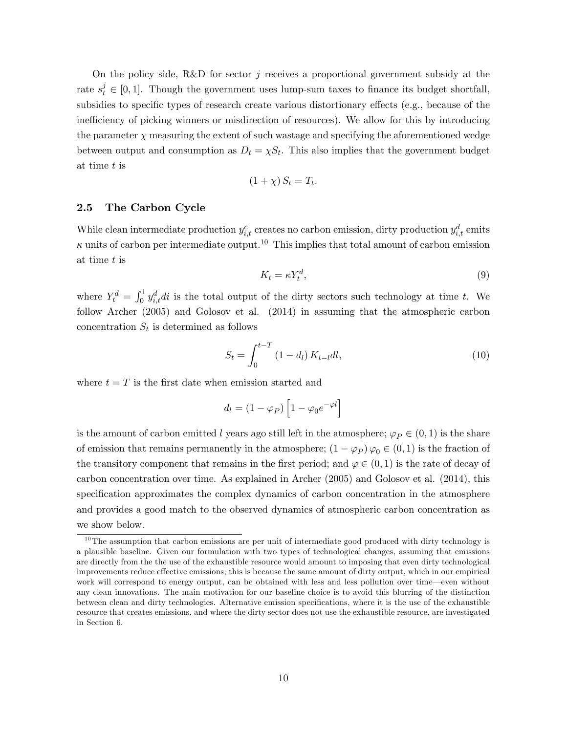On the policy side, R&D for sector  $j$  receives a proportional government subsidy at the rate  $s_t^j \in [0, 1]$ . Though the government uses lump-sum taxes to finance its budget shortfall, subsidies to specific types of research create various distortionary effects (e.g., because of the inefficiency of picking winners or misdirection of resources). We allow for this by introducing the parameter  $\chi$  measuring the extent of such wastage and specifying the aforementioned wedge between output and consumption as  $D_t = \chi S_t$ . This also implies that the government budget at time t is

$$
(1+\chi) S_t = T_t.
$$

### 2.5 The Carbon Cycle

While clean intermediate production  $y_{i,t}^c$  creates no carbon emission, dirty production  $y_{i,t}^d$  emits  $\kappa$  units of carbon per intermediate output.<sup>10</sup> This implies that total amount of carbon emission at time t is

$$
K_t = \kappa Y_t^d,\tag{9}
$$

where  $Y_t^d = \int_0^1 y_{i,t}^d di$  is the total output of the dirty sectors such technology at time t. We follow Archer (2005) and Golosov et al. (2014) in assuming that the atmospheric carbon concentration  $S_t$  is determined as follows

$$
S_t = \int_0^{t-T} (1 - d_l) K_{t-l} dl,
$$
\n(10)

where  $t = T$  is the first date when emission started and

$$
d_l = (1 - \varphi_P) \left[ 1 - \varphi_0 e^{-\varphi l} \right]
$$

is the amount of carbon emitted l years ago still left in the atmosphere;  $\varphi_P \in (0,1)$  is the share of emission that remains permanently in the atmosphere;  $(1 - \varphi_P) \varphi_0 \in (0, 1)$  is the fraction of the transitory component that remains in the first period; and  $\varphi \in (0,1)$  is the rate of decay of carbon concentration over time. As explained in Archer (2005) and Golosov et al. (2014), this specification approximates the complex dynamics of carbon concentration in the atmosphere and provides a good match to the observed dynamics of atmospheric carbon concentration as we show below.

 $10$ The assumption that carbon emissions are per unit of intermediate good produced with dirty technology is a plausible baseline. Given our formulation with two types of technological changes, assuming that emissions are directly from the the use of the exhaustible resource would amount to imposing that even dirty technological improvements reduce effective emissions; this is because the same amount of dirty output, which in our empirical work will correspond to energy output, can be obtained with less and less pollution over time—even without any clean innovations. The main motivation for our baseline choice is to avoid this blurring of the distinction between clean and dirty technologies. Alternative emission specifications, where it is the use of the exhaustible resource that creates emissions, and where the dirty sector does not use the exhaustible resource, are investigated in Section 6.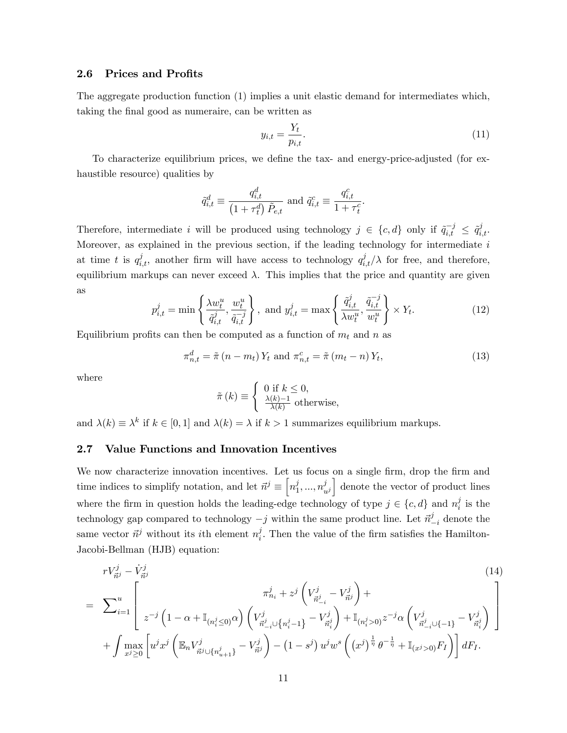### 2.6 Prices and Profits

The aggregate production function (1) implies a unit elastic demand for intermediates which, taking the Önal good as numeraire, can be written as

$$
y_{i,t} = \frac{Y_t}{p_{i,t}}.\tag{11}
$$

To characterize equilibrium prices, we define the tax- and energy-price-adjusted (for exhaustible resource) qualities by

$$
\hat{q}_{i,t}^d \equiv \frac{q_{i,t}^d}{\left(1 + \tau_t^d\right)\tilde{P}_{e,t}} \text{ and } \tilde{q}_{i,t}^c \equiv \frac{q_{i,t}^c}{1 + \tau_t^c}.
$$

Therefore, intermediate i will be produced using technology  $j \in \{c, d\}$  only if  $\tilde{q}_{i,t}^{-j} \leq \tilde{q}_{i,t}^{j}$ . Moreover, as explained in the previous section, if the leading technology for intermediate  $i$ at time t is  $q_{i,t}^j$ , another firm will have access to technology  $q_{i,t}^j/\lambda$  for free, and therefore, equilibrium markups can never exceed  $\lambda$ . This implies that the price and quantity are given as

$$
p_{i,t}^j = \min\left\{\frac{\lambda w_t^u}{\tilde{q}_{i,t}^j}, \frac{w_t^u}{\tilde{q}_{i,t}^{-j}}\right\}, \text{ and } y_{i,t}^j = \max\left\{\frac{\tilde{q}_{i,t}^j}{\lambda w_t^u}, \frac{\tilde{q}_{i,t}^{-j}}{w_t^u}\right\} \times Y_t. \tag{12}
$$

Equilibrium profits can then be computed as a function of  $m_t$  and n as

$$
\pi_{n,t}^d = \tilde{\pi}(n - m_t) Y_t \text{ and } \pi_{n,t}^c = \tilde{\pi}(m_t - n) Y_t,
$$
\n(13)

where

$$
\tilde{\pi}(k) \equiv \begin{cases} 0 \text{ if } k \leq 0, \\ \frac{\lambda(k)-1}{\lambda(k)} \text{ otherwise,} \end{cases}
$$

and  $\lambda(k) \equiv \lambda^k$  if  $k \in [0, 1]$  and  $\lambda(k) = \lambda$  if  $k > 1$  summarizes equilibrium markups.

#### 2.7 Value Functions and Innovation Incentives

We now characterize innovation incentives. Let us focus on a single firm, drop the firm and time indices to simplify notation, and let  $\vec{n}^j \equiv \left[n_1^j\right]$  $\frac{j}{1},...,\allowbreak n_{u}^{j}$  $u^j$ denote the vector of product lines where the firm in question holds the leading-edge technology of type  $j \in \{c, d\}$  and  $n_i^j$  $\frac{j}{i}$  is the technology gap compared to technology  $-j$  within the same product line. Let  $\vec{n}_{-i}^j$  denote the same vector  $\vec{n}^j$  without its *i*th element  $n_i^j$  $i<sub>i</sub>$ . Then the value of the firm satisfies the Hamilton-Jacobi-Bellman (HJB) equation:

$$
rV_{\vec{n}j}^{j} - \dot{V}_{\vec{n}j}^{j}
$$
\n
$$
= \sum_{i=1}^{u} \left[ \begin{array}{cc} \pi_{n_{i}}^{j} + z^{j} \left( V_{\vec{n}j}^{j} - V_{\vec{n}j}^{j} \right) + \\ z^{-j} \left( 1 - \alpha + \mathbb{I}_{(n_{i}^{j} \leq 0)} \alpha \right) \left( V_{\vec{n}j}^{j} - V_{\vec{n}j}^{j} \right) + \mathbb{I}_{(n_{i}^{j} > 0)} z^{-j} \alpha \left( V_{\vec{n}j}^{j} - V_{\vec{n}j}^{j} \right) \end{array} \right] + \int \max_{x^{j} \geq 0} \left[ u^{j} x^{j} \left( \mathbb{E}_{n} V_{\vec{n}j}^{j} - V_{\vec{n}j}^{j} \right) - (1 - s^{j}) u^{j} w^{s} \left( (x^{j})^{\frac{1}{\eta}} \theta^{-\frac{1}{\eta}} + \mathbb{I}_{(x^{j} > 0)} F_{I} \right) \right] dF_{I}.
$$
\n
$$
(14)
$$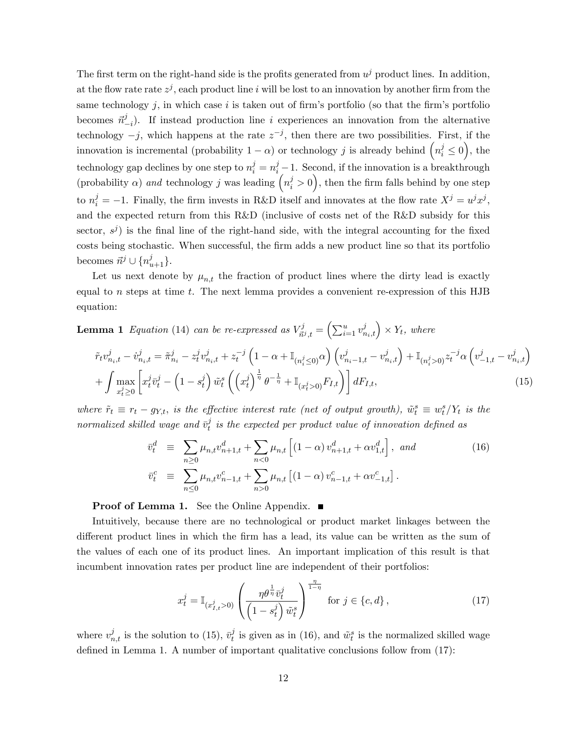The first term on the right-hand side is the profits generated from  $u^j$  product lines. In addition, at the flow rate rate  $z^j$ , each product line i will be lost to an innovation by another firm from the same technology  $j$ , in which case  $i$  is taken out of firm's portfolio (so that the firm's portfolio becomes  $\vec{n}_{-i}^j$ ). If instead production line i experiences an innovation from the alternative technology  $-j$ , which happens at the rate  $z^{-j}$ , then there are two possibilities. First, if the innovation is incremental (probability  $1 - \alpha$ ) or technology j is already behind  $\left(n_i^j \leq 0\right)$ , the technology gap declines by one step to  $n_i^j = n_i^j - 1$ . Second, if the innovation is a breakthrough (probability  $\alpha$ ) and technology j was leading  $\left(n_i^j > 0\right)$ , then the firm falls behind by one step to  $n_i^j = -1$ . Finally, the firm invests in R&D itself and innovates at the flow rate  $X^j = u^j x^j$ , and the expected return from this R&D (inclusive of costs net of the R&D subsidy for this sector,  $s^{j}$ ) is the final line of the right-hand side, with the integral accounting for the fixed costs being stochastic. When successful, the firm adds a new product line so that its portfolio becomes  $\vec{n}^j \cup \{n_{u+1}^j\}.$ 

Let us next denote by  $\mu_{n,t}$  the fraction of product lines where the dirty lead is exactly equal to n steps at time t. The next lemma provides a convenient re-expression of this  $HJB$ equation:

**Lemma 1** Equation (14) can be re-expressed as  $V_{\vec{n}^{j},t}^{j} = (\sum_{i=1}^{u} v_{n_{i},t}^{j}) \times Y_{t}$ , where

$$
\tilde{r}_{t}v_{n_{i},t}^{j} - \dot{v}_{n_{i},t}^{j} = \tilde{\pi}_{n_{i}}^{j} - z_{t}^{j}v_{n_{i},t}^{j} + z_{t}^{-j}\left(1 - \alpha + \mathbb{I}_{(n_{i}^{j} \leq 0)}\alpha\right)\left(v_{n_{i}-1,t}^{j} - v_{n_{i},t}^{j}\right) + \mathbb{I}_{(n_{i}^{j} > 0)}z_{t}^{-j}\alpha\left(v_{-1,t}^{j} - v_{n_{i},t}^{j}\right) + \int \max_{x_{t}^{j} \geq 0} \left[x_{t}^{j}\bar{v}_{t}^{j} - \left(1 - s_{t}^{j}\right)\tilde{w}_{t}^{s}\left(\left(x_{t}^{j}\right)^{\frac{1}{\eta}}\theta^{-\frac{1}{\eta}} + \mathbb{I}_{(x_{t}^{j} > 0)}F_{I,t}\right)\right]dF_{I,t},\tag{15}
$$

where  $\tilde{r}_t \equiv r_t - g_{Y,t}$ , is the effective interest rate (net of output growth),  $\tilde{w}_t^s \equiv w_t^s/Y_t$  is the normalized skilled wage and  $\bar{v}_t^j$  $t_t^j$  is the expected per product value of innovation defined as

$$
\bar{v}_t^d \equiv \sum_{n\geq 0} \mu_{n,t} v_{n+1,t}^d + \sum_{n<0} \mu_{n,t} \left[ (1-\alpha) v_{n+1,t}^d + \alpha v_{1,t}^d \right], \text{ and}
$$
\n
$$
\bar{v}_t^c \equiv \sum_{n\leq 0} \mu_{n,t} v_{n-1,t}^c + \sum_{n>0} \mu_{n,t} \left[ (1-\alpha) v_{n-1,t}^c + \alpha v_{-1,t}^c \right].
$$
\n(16)

**Proof of Lemma 1.** See the Online Appendix. ■

Intuitively, because there are no technological or product market linkages between the different product lines in which the firm has a lead, its value can be written as the sum of the values of each one of its product lines. An important implication of this result is that incumbent innovation rates per product line are independent of their portfolios:

$$
x_t^j = \mathbb{I}_{(x_{I,t}^j > 0)} \left( \frac{\eta \theta^{\frac{1}{\eta}} \overline{v}_t^j}{\left(1 - s_t^j\right) \tilde{w}_t^s} \right)^{\frac{\eta}{1 - \eta}} \text{ for } j \in \{c, d\},\tag{17}
$$

where  $v_{n,t}^j$  is the solution to (15),  $\bar{v}_t^j$  $t_i$  is given as in (16), and  $\tilde{w}_t^s$  is the normalized skilled wage defined in Lemma 1. A number of important qualitative conclusions follow from  $(17)$ :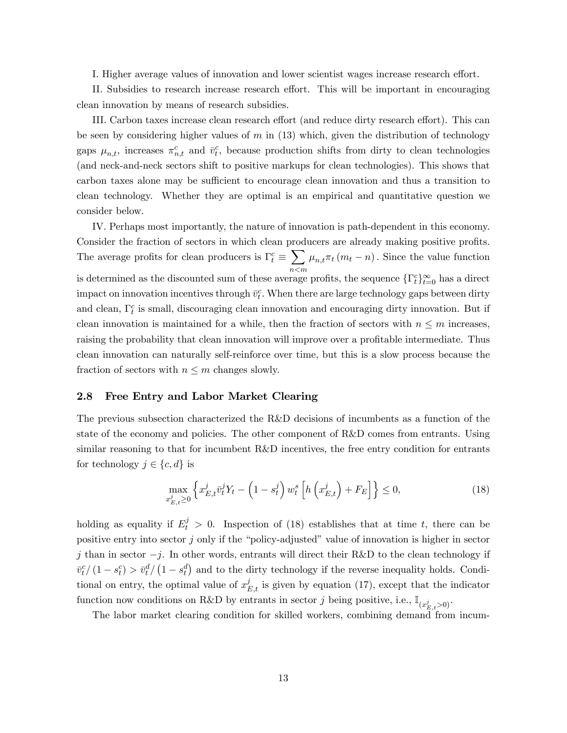I. Higher average values of innovation and lower scientist wages increase research effort.

II. Subsidies to research increase research effort. This will be important in encouraging clean innovation by means of research subsidies.

III. Carbon taxes increase clean research effort (and reduce dirty research effort). This can be seen by considering higher values of  $m$  in (13) which, given the distribution of technology gaps  $\mu_{n,t}$ , increases  $\pi_{n,t}^c$  and  $\bar{v}_t^c$ , because production shifts from dirty to clean technologies (and neck-and-neck sectors shift to positive markups for clean technologies). This shows that carbon taxes alone may be sufficient to encourage clean innovation and thus a transition to clean technology. Whether they are optimal is an empirical and quantitative question we consider below.

IV. Perhaps most importantly, the nature of innovation is path-dependent in this economy. Consider the fraction of sectors in which clean producers are already making positive profits. The average profits for clean producers is  $\Gamma_t^c \equiv$  $\sum$  $n<sub>m</sub>$  $\mu_{n,t}\pi_t(m_t - n)$ . Since the value function is determined as the discounted sum of these average profits, the sequence  $\{\Gamma_t^c\}_{t=0}^{\infty}$  has a direct impact on innovation incentives through  $\bar{v}_t^c$ . When there are large technology gaps between dirty and clean,  $\Gamma_t^c$  is small, discouraging clean innovation and encouraging dirty innovation. But if clean innovation is maintained for a while, then the fraction of sectors with  $n \leq m$  increases, raising the probability that clean innovation will improve over a profitable intermediate. Thus clean innovation can naturally self-reinforce over time, but this is a slow process because the fraction of sectors with  $n \leq m$  changes slowly.

### 2.8 Free Entry and Labor Market Clearing

The previous subsection characterized the R&D decisions of incumbents as a function of the state of the economy and policies. The other component of R&D comes from entrants. Using similar reasoning to that for incumbent R&D incentives, the free entry condition for entrants for technology  $j \in \{c, d\}$  is

$$
\max_{x_{E,t}^j \ge 0} \left\{ x_{E,t}^j \bar{v}_t^j Y_t - \left( 1 - s_t^j \right) w_t^s \left[ h \left( x_{E,t}^j \right) + F_E \right] \right\} \le 0,
$$
\n(18)

holding as equality if  $E_t^j > 0$ . Inspection of (18) establishes that at time t, there can be positive entry into sector  $j$  only if the "policy-adjusted" value of innovation is higher in sector j than in sector  $-j$ . In other words, entrants will direct their R&D to the clean technology if  $\bar{v}_t^c/(1-s_t^c) > \bar{v}_t^d/(1-s_t^d)$  and to the dirty technology if the reverse inequality holds. Conditional on entry, the optimal value of  $x_{E,t}^j$  is given by equation (17), except that the indicator function now conditions on R&D by entrants in sector j being positive, i.e.,  $\mathbb{I}_{(x_{E,t}^j>0)}$ .

The labor market clearing condition for skilled workers, combining demand from incum-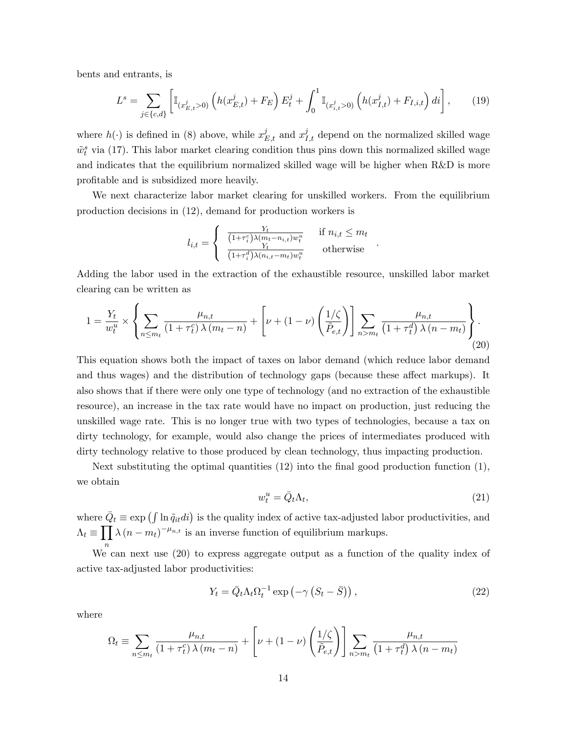bents and entrants, is

$$
L^s = \sum_{j \in \{c,d\}} \left[ \mathbb{I}_{(x_{E,t}^j > 0)} \left( h(x_{E,t}^j) + F_E \right) E_t^j + \int_0^1 \mathbb{I}_{(x_{i,t}^j > 0)} \left( h(x_{I,t}^j) + F_{I,i,t} \right) di \right],\tag{19}
$$

where  $h(\cdot)$  is defined in (8) above, while  $x_{E,t}^j$  and  $x_{I,t}^j$  depend on the normalized skilled wage  $\tilde{w}_t^s$  via (17). This labor market clearing condition thus pins down this normalized skilled wage and indicates that the equilibrium normalized skilled wage will be higher when R&D is more profitable and is subsidized more heavily.

We next characterize labor market clearing for unskilled workers. From the equilibrium production decisions in (12), demand for production workers is

$$
l_{i,t} = \begin{cases} \frac{Y_t}{(1+\tau_i^c)\lambda(m_t - n_{i,t})w_t^u} & \text{if } n_{i,t} \leq m_t \\ \frac{Y_t}{(1+\tau_i^d)\lambda(n_{i,t} - m_t)w_t^u} & \text{otherwise} \end{cases}.
$$

Adding the labor used in the extraction of the exhaustible resource, unskilled labor market clearing can be written as

$$
1 = \frac{Y_t}{w_t^u} \times \left\{ \sum_{n \le m_t} \frac{\mu_{n,t}}{(1 + \tau_t^c) \lambda(m_t - n)} + \left[ \nu + (1 - \nu) \left( \frac{1/\zeta}{\tilde{P}_{e,t}} \right) \right] \sum_{n > m_t} \frac{\mu_{n,t}}{(1 + \tau_t^d) \lambda(n - m_t)} \right\}.
$$
\n(20)

This equation shows both the impact of taxes on labor demand (which reduce labor demand and thus wages) and the distribution of technology gaps (because these affect markups). It also shows that if there were only one type of technology (and no extraction of the exhaustible resource), an increase in the tax rate would have no impact on production, just reducing the unskilled wage rate. This is no longer true with two types of technologies, because a tax on dirty technology, for example, would also change the prices of intermediates produced with dirty technology relative to those produced by clean technology, thus impacting production.

Next substituting the optimal quantities  $(12)$  into the final good production function  $(1)$ , we obtain

$$
w_t^u = \bar{Q}_t \Lambda_t,\tag{21}
$$

where  $\bar{Q}_t \equiv \exp\left(\int \ln \tilde{q}_{it}di\right)$  is the quality index of active tax-adjusted labor productivities, and  $\Lambda_t \equiv \prod \lambda (n - m_t)^{-\mu_{n,t}}$  is an inverse function of equilibrium markups. n

We can next use (20) to express aggregate output as a function of the quality index of active tax-adjusted labor productivities:

$$
Y_t = \bar{Q}_t \Lambda_t \Omega_t^{-1} \exp\left(-\gamma \left(S_t - \bar{S}\right)\right),\tag{22}
$$

where

$$
\Omega_t \equiv \sum_{n \le m_t} \frac{\mu_{n,t}}{(1 + \tau_t^c) \lambda (m_t - n)} + \left[ \nu + (1 - \nu) \left( \frac{1/\zeta}{\tilde{P}_{e,t}} \right) \right] \sum_{n > m_t} \frac{\mu_{n,t}}{(1 + \tau_t^d) \lambda (n - m_t)}
$$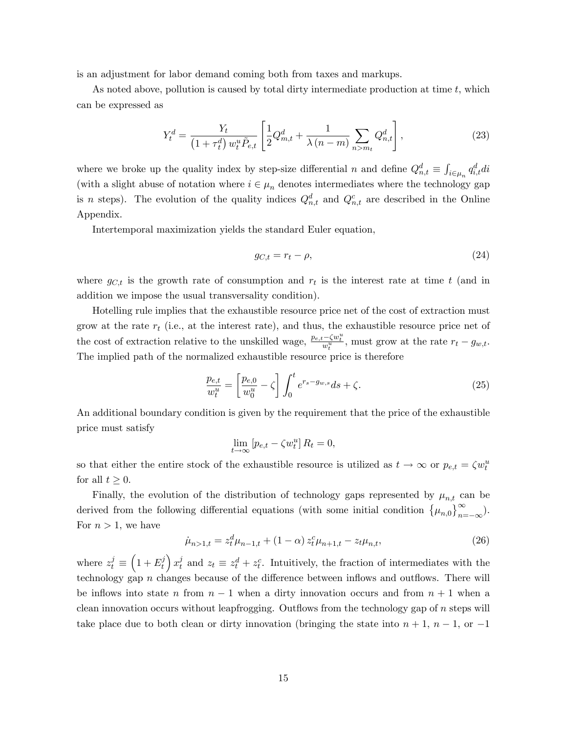is an adjustment for labor demand coming both from taxes and markups.

As noted above, pollution is caused by total dirty intermediate production at time  $t$ , which can be expressed as

$$
Y_t^d = \frac{Y_t}{\left(1 + \tau_t^d\right) w_t^u \tilde{P}_{e,t}} \left[ \frac{1}{2} Q_{m,t}^d + \frac{1}{\lambda \left(n - m\right)} \sum_{n > m_t} Q_{n,t}^d \right],\tag{23}
$$

where we broke up the quality index by step-size differential n and define  $Q_{n,t}^d \equiv \int$  $\sum_{i\in\mu_n}q_{i,t}^d di$ (with a slight abuse of notation where  $i \in \mu_n$  denotes intermediates where the technology gap is *n* steps). The evolution of the quality indices  $Q_{n,t}^d$  and  $Q_{n,t}^c$  are described in the Online Appendix.

Intertemporal maximization yields the standard Euler equation,

$$
g_{C,t} = r_t - \rho,\tag{24}
$$

where  $g_{C,t}$  is the growth rate of consumption and  $r_t$  is the interest rate at time t (and in addition we impose the usual transversality condition).

Hotelling rule implies that the exhaustible resource price net of the cost of extraction must grow at the rate  $r_t$  (i.e., at the interest rate), and thus, the exhaustible resource price net of the cost of extraction relative to the unskilled wage,  $\frac{p_{e,t}-\zeta w_t^u}{w_t^u}$ , must grow at the rate  $r_t-g_{w,t}$ . The implied path of the normalized exhaustible resource price is therefore

$$
\frac{p_{e,t}}{w_t^u} = \left[\frac{p_{e,0}}{w_0^u} - \zeta\right] \int_0^t e^{r_s - g_{w,s}} ds + \zeta.
$$
\n(25)

An additional boundary condition is given by the requirement that the price of the exhaustible price must satisfy

$$
\lim_{t \to \infty} [p_{e,t} - \zeta w_t^u] R_t = 0,
$$

so that either the entire stock of the exhaustible resource is utilized as  $t \to \infty$  or  $p_{e,t} = \zeta w_t^u$ for all  $t \geq 0$ .

Finally, the evolution of the distribution of technology gaps represented by  $\mu_{n,t}$  can be derived from the following differential equations (with some initial condition  $\{\mu_{n,0}\}_{n=1}^{\infty}$  $_{n=-\infty}^{\infty}$ ). For  $n > 1$ , we have

$$
\dot{\mu}_{n>1,t} = z_t^d \mu_{n-1,t} + (1 - \alpha) z_t^c \mu_{n+1,t} - z_t \mu_{n,t},
$$
\n(26)

where  $z_t^j \equiv$  $\left(1+E_t^j\right)$ t  $x_t^j$  $t_i$  and  $z_t \equiv z_t^d + z_t^c$ . Intuitively, the fraction of intermediates with the technology gap  $n$  changes because of the difference between inflows and outflows. There will be inflows into state n from  $n-1$  when a dirty innovation occurs and from  $n+1$  when a clean innovation occurs without leapfrogging. Outflows from the technology gap of  $n$  steps will take place due to both clean or dirty innovation (bringing the state into  $n + 1$ ,  $n - 1$ , or  $-1$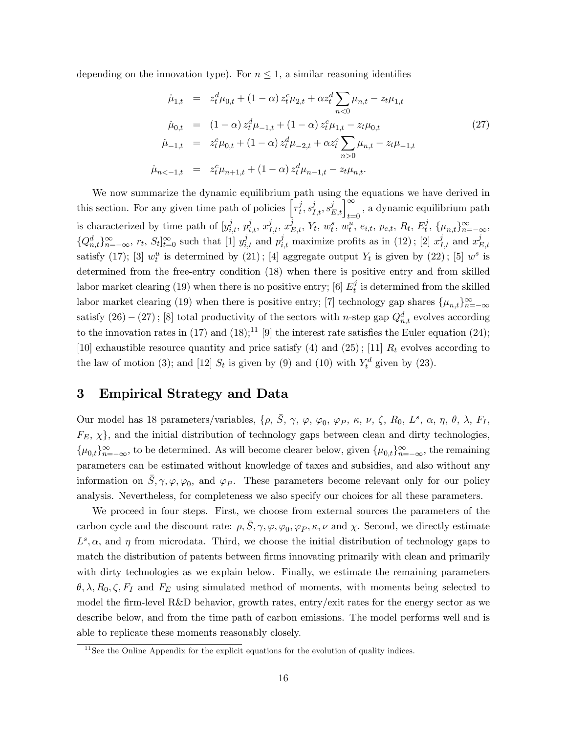depending on the innovation type). For  $n \leq 1$ , a similar reasoning identifies

$$
\dot{\mu}_{1,t} = z_t^d \mu_{0,t} + (1 - \alpha) z_t^c \mu_{2,t} + \alpha z_t^d \sum_{n < 0} \mu_{n,t} - z_t \mu_{1,t}
$$
\n
$$
\dot{\mu}_{0,t} = (1 - \alpha) z_t^d \mu_{-1,t} + (1 - \alpha) z_t^c \mu_{1,t} - z_t \mu_{0,t}
$$
\n
$$
\dot{\mu}_{-1,t} = z_t^c \mu_{0,t} + (1 - \alpha) z_t^d \mu_{-2,t} + \alpha z_t^c \sum_{n > 0} \mu_{n,t} - z_t \mu_{-1,t}
$$
\n
$$
\dot{\mu}_{n < -1,t} = z_t^c \mu_{n+1,t} + (1 - \alpha) z_t^d \mu_{n-1,t} - z_t \mu_{n,t}.
$$
\n
$$
(27)
$$

We now summarize the dynamic equilibrium path using the equations we have derived in this section. For any given time path of policies  $\begin{bmatrix} \tau_t^j \end{bmatrix}$  $\left\{t, s_{I,t}^j, s_{E,t}^j\right\}_{t=0}^{\infty}$ , a dynamic equilibrium path is characterized by time path of  $[y_{i,t}^j, p_{i,t}^j, x_{I,t}^j, x_{E,t}^j, Y_t, w_t^s, w_t^u, e_{i,t}, p_{e,t}, R_t, E_t^j, \{\mu_{n,t}\}_{n=-\infty}^{\infty}$ ,  ${Q_{n,t}^d}_{n=-\infty}^{\infty}$ ,  $r_t$ ,  $S_t]_{t=0}^{\infty}$  such that [1]  $y_{i,t}^j$  and  $p_{i,t}^j$  maximize profits as in (12); [2]  $x_{I,t}^j$  and  $x_I^j$  $E,t$ satisfy (17); [3]  $w_t^u$  is determined by (21); [4] aggregate output  $Y_t$  is given by (22); [5]  $w^s$  is determined from the free-entry condition (18) when there is positive entry and from skilled labor market clearing (19) when there is no positive entry; [6]  $E_t^j$  $t$  is determined from the skilled labor market clearing (19) when there is positive entry; [7] technology gap shares  $\{\mu_{n,t}\}_{n=-\infty}^{\infty}$ satisfy  $(26) - (27)$ ; [8] total productivity of the sectors with *n*-step gap  $Q_{n,t}^d$  evolves according to the innovation rates in (17) and (18);<sup>11</sup> [9] the interest rate satisfies the Euler equation (24); [10] exhaustible resource quantity and price satisfy (4) and (25); [11]  $R_t$  evolves according to the law of motion (3); and [12]  $S_t$  is given by (9) and (10) with  $Y_t^d$  given by (23).

# 3 Empirical Strategy and Data

Our model has <sup>18</sup> parameters/variables, {, <sup>S</sup>, , ', '<sup>0</sup> , '<sup>P</sup> , , , , R0, L s , , , , , F<sup>I</sup> ,  $F_E$ ,  $\chi$ }, and the initial distribution of technology gaps between clean and dirty technologies,  $\{\mu_{0,t}\}_{n=-\infty}^{\infty}$ , to be determined. As will become clearer below, given  $\{\mu_{0,t}\}_{n=-\infty}^{\infty}$ , the remaining parameters can be estimated without knowledge of taxes and subsidies, and also without any information on  $\bar{S}$ ,  $\gamma$ ,  $\varphi$ ,  $\varphi$ <sub>0</sub>, and  $\varphi$ <sub>P</sub>. These parameters become relevant only for our policy analysis. Nevertheless, for completeness we also specify our choices for all these parameters.

We proceed in four steps. First, we choose from external sources the parameters of the carbon cycle and the discount rate:  $\rho$ ,  $\bar{S}$ ,  $\gamma$ ,  $\varphi$ ,  $\varphi$ <sub>0</sub>,  $\varphi$ <sub>*P*</sub>,  $\kappa$ ,  $\nu$  and  $\chi$ . Second, we directly estimate  $L^s$ ,  $\alpha$ , and  $\eta$  from microdata. Third, we choose the initial distribution of technology gaps to match the distribution of patents between firms innovating primarily with clean and primarily with dirty technologies as we explain below. Finally, we estimate the remaining parameters  $\theta$ ,  $\lambda$ ,  $R_0$ ,  $\zeta$ ,  $F_I$  and  $F_E$  using simulated method of moments, with moments being selected to model the firm-level  $R\&D$  behavior, growth rates, entry/exit rates for the energy sector as we describe below, and from the time path of carbon emissions. The model performs well and is able to replicate these moments reasonably closely.

<sup>&</sup>lt;sup>11</sup>See the Online Appendix for the explicit equations for the evolution of quality indices.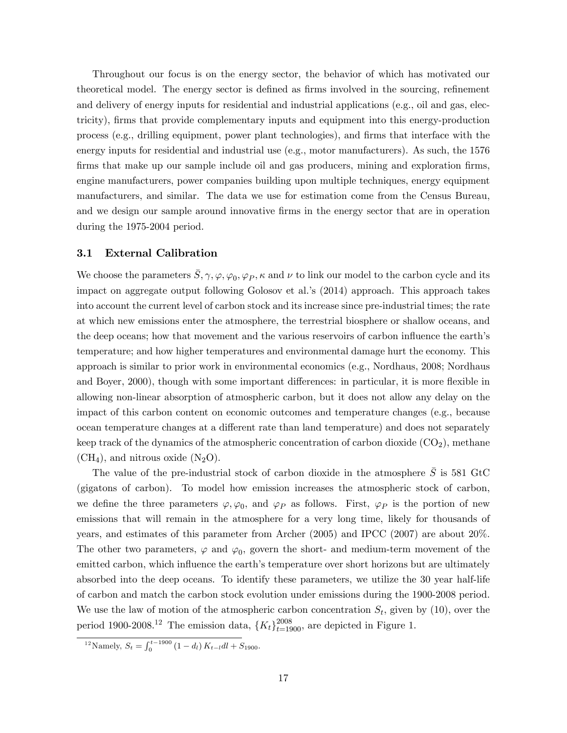Throughout our focus is on the energy sector, the behavior of which has motivated our theoretical model. The energy sector is defined as firms involved in the sourcing, refinement and delivery of energy inputs for residential and industrial applications (e.g., oil and gas, electricity), firms that provide complementary inputs and equipment into this energy-production process (e.g., drilling equipment, power plant technologies), and Örms that interface with the energy inputs for residential and industrial use (e.g., motor manufacturers). As such, the 1576 firms that make up our sample include oil and gas producers, mining and exploration firms, engine manufacturers, power companies building upon multiple techniques, energy equipment manufacturers, and similar. The data we use for estimation come from the Census Bureau, and we design our sample around innovative firms in the energy sector that are in operation during the 1975-2004 period.

#### 3.1 External Calibration

We choose the parameters  $\bar{S}$ ,  $\gamma$ ,  $\varphi$ ,  $\varphi$ <sub>0</sub>,  $\varphi$ <sub>*P*</sub>,  $\kappa$  and  $\nu$  to link our model to the carbon cycle and its impact on aggregate output following Golosov et al.'s (2014) approach. This approach takes into account the current level of carbon stock and its increase since pre-industrial times; the rate at which new emissions enter the atmosphere, the terrestrial biosphere or shallow oceans, and the deep oceans; how that movement and the various reservoirs of carbon influence the earth's temperature; and how higher temperatures and environmental damage hurt the economy. This approach is similar to prior work in environmental economics (e.g., Nordhaus, 2008; Nordhaus and Boyer, 2000), though with some important differences: in particular, it is more flexible in allowing non-linear absorption of atmospheric carbon, but it does not allow any delay on the impact of this carbon content on economic outcomes and temperature changes (e.g., because ocean temperature changes at a different rate than land temperature) and does not separately keep track of the dynamics of the atmospheric concentration of carbon dioxide  $(CO<sub>2</sub>)$ , methane  $(CH_4)$ , and nitrous oxide  $(N_2O)$ .

The value of the pre-industrial stock of carbon dioxide in the atmosphere  $\bar{S}$  is 581 GtC (gigatons of carbon). To model how emission increases the atmospheric stock of carbon, we define the three parameters  $\varphi, \varphi_0$ , and  $\varphi_P$  as follows. First,  $\varphi_P$  is the portion of new emissions that will remain in the atmosphere for a very long time, likely for thousands of years, and estimates of this parameter from Archer (2005) and IPCC (2007) are about 20%. The other two parameters,  $\varphi$  and  $\varphi_0$ , govern the short- and medium-term movement of the emitted carbon, which influence the earth's temperature over short horizons but are ultimately absorbed into the deep oceans. To identify these parameters, we utilize the 30 year half-life of carbon and match the carbon stock evolution under emissions during the 1900-2008 period. We use the law of motion of the atmospheric carbon concentration  $S_t$ , given by (10), over the period 1900-2008.<sup>12</sup> The emission data,  $\{K_t\}_{t=1900}^{2008}$ , are depicted in Figure 1.

<sup>&</sup>lt;sup>12</sup> Namely,  $S_t = \int_0^{t-1900} (1 - d_l) K_{t-l} dl + S_{1900}.$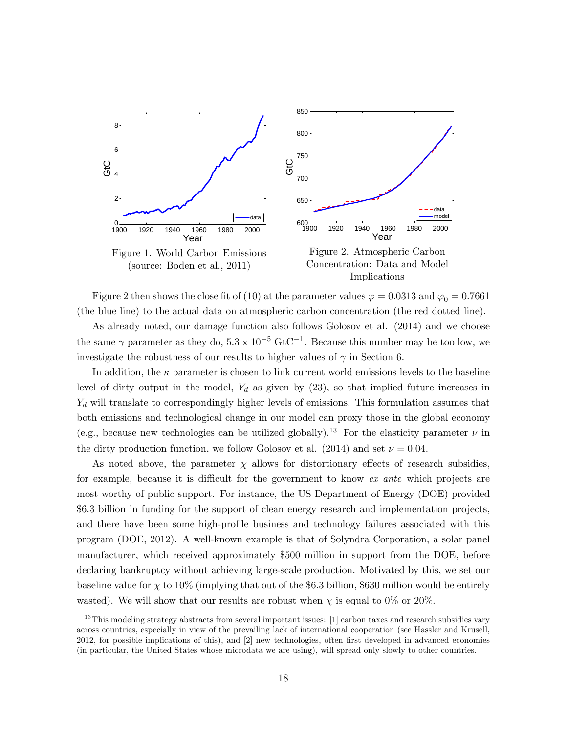

Figure 2 then shows the close fit of (10) at the parameter values  $\varphi = 0.0313$  and  $\varphi_0 = 0.7661$ (the blue line) to the actual data on atmospheric carbon concentration (the red dotted line).

As already noted, our damage function also follows Golosov et al. (2014) and we choose the same  $\gamma$  parameter as they do, 5.3 x 10<sup>-5</sup> GtC<sup>-1</sup>. Because this number may be too low, we investigate the robustness of our results to higher values of  $\gamma$  in Section 6.

In addition, the  $\kappa$  parameter is chosen to link current world emissions levels to the baseline level of dirty output in the model,  $Y_d$  as given by (23), so that implied future increases in  $Y_d$  will translate to correspondingly higher levels of emissions. This formulation assumes that both emissions and technological change in our model can proxy those in the global economy (e.g., because new technologies can be utilized globally).<sup>13</sup> For the elasticity parameter  $\nu$  in the dirty production function, we follow Golosov et al. (2014) and set  $\nu = 0.04$ .

As noted above, the parameter  $\chi$  allows for distortionary effects of research subsidies, for example, because it is difficult for the government to know  $ex$  ante which projects are most worthy of public support. For instance, the US Department of Energy (DOE) provided \$6.3 billion in funding for the support of clean energy research and implementation projects, and there have been some high-profile business and technology failures associated with this program (DOE, 2012). A well-known example is that of Solyndra Corporation, a solar panel manufacturer, which received approximately \$500 million in support from the DOE, before declaring bankruptcy without achieving large-scale production. Motivated by this, we set our baseline value for  $\chi$  to 10% (implying that out of the \$6.3 billion, \$630 million would be entirely wasted). We will show that our results are robust when  $\chi$  is equal to 0% or 20%.

<sup>&</sup>lt;sup>13</sup>This modeling strategy abstracts from several important issues: [1] carbon taxes and research subsidies vary across countries, especially in view of the prevailing lack of international cooperation (see Hassler and Krusell, 2012, for possible implications of this), and [2] new technologies, often first developed in advanced economies (in particular, the United States whose microdata we are using), will spread only slowly to other countries.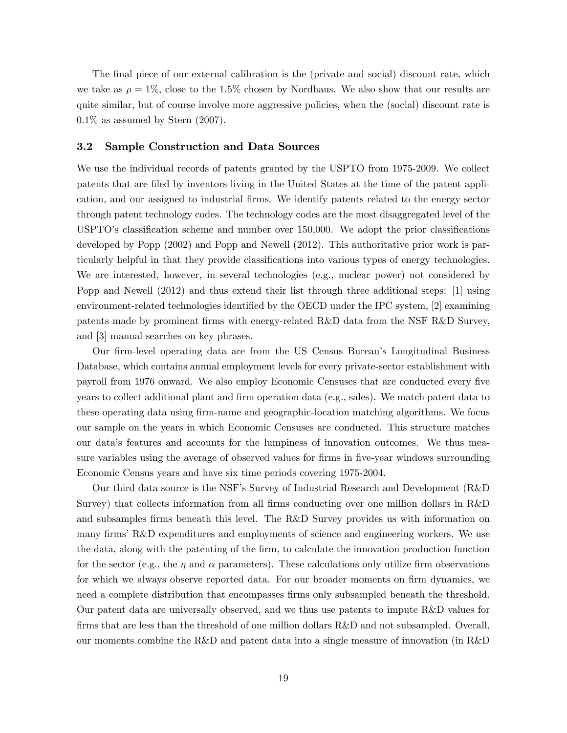The final piece of our external calibration is the (private and social) discount rate, which we take as  $\rho = 1\%$ , close to the 1.5% chosen by Nordhaus. We also show that our results are quite similar, but of course involve more aggressive policies, when the (social) discount rate is  $0.1\%$  as assumed by Stern  $(2007)$ .

#### 3.2 Sample Construction and Data Sources

We use the individual records of patents granted by the USPTO from 1975-2009. We collect patents that are Öled by inventors living in the United States at the time of the patent application, and our assigned to industrial Örms. We identify patents related to the energy sector through patent technology codes. The technology codes are the most disaggregated level of the USPTO's classification scheme and number over  $150,000$ . We adopt the prior classifications developed by Popp (2002) and Popp and Newell (2012). This authoritative prior work is particularly helpful in that they provide classifications into various types of energy technologies. We are interested, however, in several technologies (e.g., nuclear power) not considered by Popp and Newell (2012) and thus extend their list through three additional steps: [1] using environment-related technologies identified by the OECD under the IPC system, [2] examining patents made by prominent firms with energy-related R&D data from the NSF R&D Survey, and [3] manual searches on key phrases.

Our firm-level operating data are from the US Census Bureau's Longitudinal Business Database, which contains annual employment levels for every private-sector establishment with payroll from 1976 onward. We also employ Economic Censuses that are conducted every five years to collect additional plant and firm operation data (e.g., sales). We match patent data to these operating data using firm-name and geographic-location matching algorithms. We focus our sample on the years in which Economic Censuses are conducted. This structure matches our dataís features and accounts for the lumpiness of innovation outcomes. We thus measure variables using the average of observed values for firms in five-year windows surrounding Economic Census years and have six time periods covering 1975-2004.

Our third data source is the NSFís Survey of Industrial Research and Development (R&D Survey) that collects information from all firms conducting over one million dollars in R&D and subsamples firms beneath this level. The  $R&D$  Survey provides us with information on many firms' R&D expenditures and employments of science and engineering workers. We use the data, along with the patenting of the Örm, to calculate the innovation production function for the sector (e.g., the  $\eta$  and  $\alpha$  parameters). These calculations only utilize firm observations for which we always observe reported data. For our broader moments on firm dynamics, we need a complete distribution that encompasses firms only subsampled beneath the threshold. Our patent data are universally observed, and we thus use patents to impute R&D values for firms that are less than the threshold of one million dollars  $R&D$  and not subsampled. Overall, our moments combine the R&D and patent data into a single measure of innovation (in R&D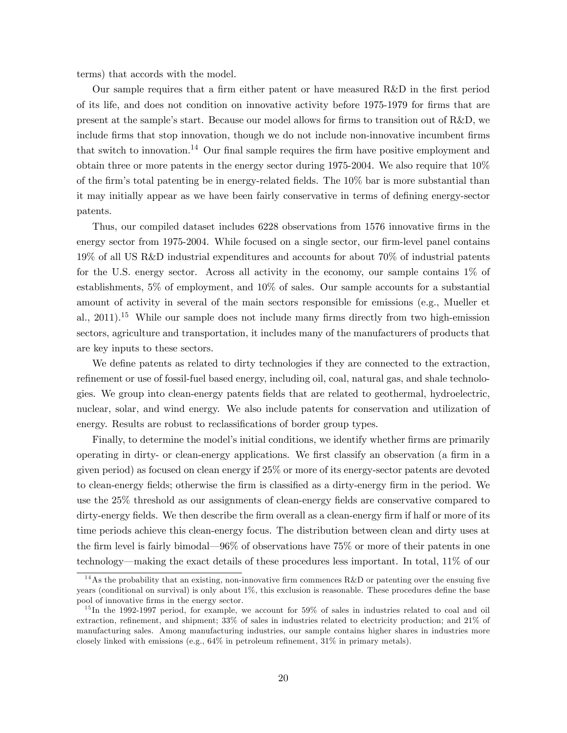terms) that accords with the model.

Our sample requires that a firm either patent or have measured  $R\&D$  in the first period of its life, and does not condition on innovative activity before 1975-1979 for firms that are present at the sample's start. Because our model allows for firms to transition out of  $R\&D$ , we include firms that stop innovation, though we do not include non-innovative incumbent firms that switch to innovation.<sup>14</sup> Our final sample requires the firm have positive employment and obtain three or more patents in the energy sector during 1975-2004. We also require that  $10\%$ of the firm's total patenting be in energy-related fields. The  $10\%$  bar is more substantial than it may initially appear as we have been fairly conservative in terms of defining energy-sector patents.

Thus, our compiled dataset includes 6228 observations from 1576 innovative firms in the energy sector from 1975-2004. While focused on a single sector, our firm-level panel contains 19% of all US R&D industrial expenditures and accounts for about 70% of industrial patents for the U.S. energy sector. Across all activity in the economy, our sample contains 1% of establishments, 5% of employment, and 10% of sales. Our sample accounts for a substantial amount of activity in several of the main sectors responsible for emissions (e.g., Mueller et al.,  $2011$ <sup>15</sup> While our sample does not include many firms directly from two high-emission sectors, agriculture and transportation, it includes many of the manufacturers of products that are key inputs to these sectors.

We define patents as related to dirty technologies if they are connected to the extraction, refinement or use of fossil-fuel based energy, including oil, coal, natural gas, and shale technologies. We group into clean-energy patents Öelds that are related to geothermal, hydroelectric, nuclear, solar, and wind energy. We also include patents for conservation and utilization of energy. Results are robust to reclassifications of border group types.

Finally, to determine the model's initial conditions, we identify whether firms are primarily operating in dirty- or clean-energy applications. We first classify an observation (a firm in a given period) as focused on clean energy if 25% or more of its energy-sector patents are devoted to clean-energy fields; otherwise the firm is classified as a dirty-energy firm in the period. We use the 25% threshold as our assignments of clean-energy fields are conservative compared to dirty-energy fields. We then describe the firm overall as a clean-energy firm if half or more of its time periods achieve this clean-energy focus. The distribution between clean and dirty uses at the firm level is fairly bimodal—96% of observations have  $75\%$  or more of their patents in one technology—making the exact details of these procedures less important. In total,  $11\%$  of our

<sup>&</sup>lt;sup>14</sup>As the probability that an existing, non-innovative firm commences R&D or patenting over the ensuing five years (conditional on survival) is only about  $1\%$ , this exclusion is reasonable. These procedures define the base pool of innovative Örms in the energy sector.

<sup>&</sup>lt;sup>15</sup>In the 1992-1997 period, for example, we account for 59% of sales in industries related to coal and oil extraction, refinement, and shipment; 33% of sales in industries related to electricity production; and 21% of manufacturing sales. Among manufacturing industries, our sample contains higher shares in industries more closely linked with emissions (e.g.,  $64\%$  in petroleum refinement,  $31\%$  in primary metals).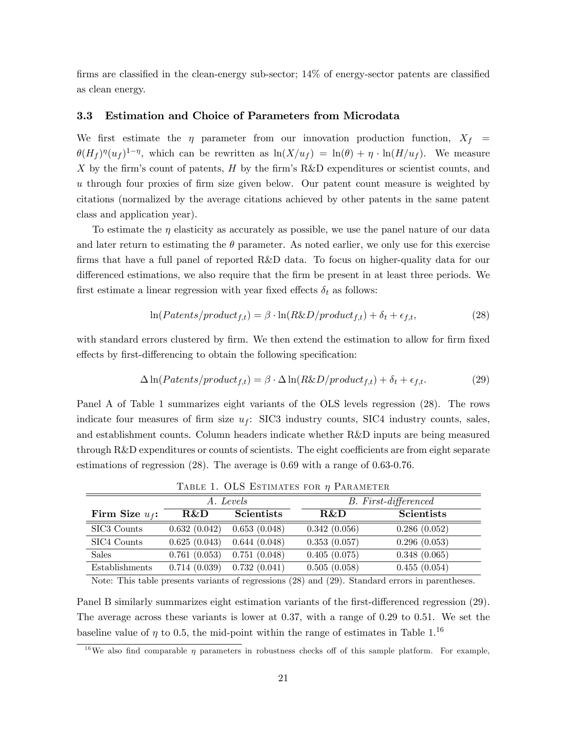firms are classified in the clean-energy sub-sector;  $14\%$  of energy-sector patents are classified as clean energy.

#### 3.3 Estimation and Choice of Parameters from Microdata

We first estimate the  $\eta$  parameter from our innovation production function,  $X_f$  =  $\theta(H_f)^\eta(u_f)^{1-\eta}$ , which can be rewritten as  $\ln(X/u_f) = \ln(\theta) + \eta \cdot \ln(H/u_f)$ . We measure X by the firm's count of patents,  $H$  by the firm's R&D expenditures or scientist counts, and  $u$  through four proxies of firm size given below. Our patent count measure is weighted by citations (normalized by the average citations achieved by other patents in the same patent class and application year).

To estimate the  $\eta$  elasticity as accurately as possible, we use the panel nature of our data and later return to estimating the  $\theta$  parameter. As noted earlier, we only use for this exercise firms that have a full panel of reported  $R&D$  data. To focus on higher-quality data for our differenced estimations, we also require that the firm be present in at least three periods. We first estimate a linear regression with year fixed effects  $\delta_t$  as follows:

$$
\ln(Patents/product_{f,t}) = \beta \cdot \ln(R\&D/product_{f,t}) + \delta_t + \epsilon_{f,t},\tag{28}
$$

with standard errors clustered by firm. We then extend the estimation to allow for firm fixed effects by first-differencing to obtain the following specification:

$$
\Delta \ln(Patents/product_{f,t}) = \beta \cdot \Delta \ln(R \& D/product_{f,t}) + \delta_t + \epsilon_{f,t}.
$$
 (29)

Panel A of Table 1 summarizes eight variants of the OLS levels regression (28). The rows indicate four measures of firm size  $u_f$ : SIC3 industry counts, SIC4 industry counts, sales, and establishment counts. Column headers indicate whether R&D inputs are being measured through  $R&D$  expenditures or counts of scientists. The eight coefficients are from eight separate estimations of regression (28). The average is 0.69 with a range of 0.63-0.76.

|                   | A. Levels    |                   |              | <b>B.</b> First-differenced |
|-------------------|--------------|-------------------|--------------|-----------------------------|
| Firm Size $u_f$ : | $R\&D$       | <b>Scientists</b> | $R\&D$       | <b>Scientists</b>           |
| SIC3 Counts       | 0.632(0.042) | 0.653(0.048)      | 0.342(0.056) | 0.286(0.052)                |
| SIC4 Counts       | 0.625(0.043) | 0.644(0.048)      | 0.353(0.057) | 0.296(0.053)                |
| <b>Sales</b>      | 0.761(0.053) | 0.751(0.048)      | 0.405(0.075) | 0.348(0.065)                |
| Establishments    | 0.714(0.039) | 0.732(0.041)      | 0.505(0.058) | 0.455(0.054)                |

TABLE 1. OLS ESTIMATES FOR  $\eta$  PARAMETER

Note: This table presents variants of regressions (28) and (29). Standard errors in parentheses.

Panel B similarly summarizes eight estimation variants of the first-differenced regression (29). The average across these variants is lower at 0.37, with a range of 0.29 to 0.51. We set the baseline value of  $\eta$  to 0.5, the mid-point within the range of estimates in Table 1.<sup>16</sup>

<sup>&</sup>lt;sup>16</sup>We also find comparable  $\eta$  parameters in robustness checks off of this sample platform. For example,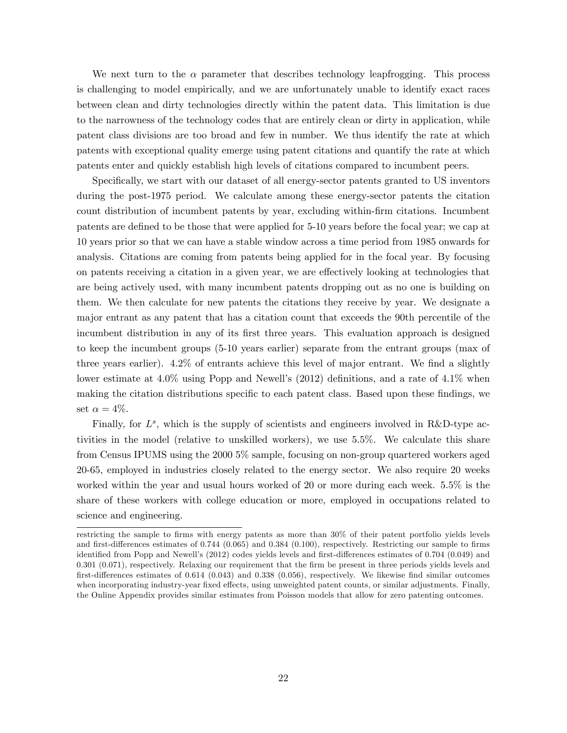We next turn to the  $\alpha$  parameter that describes technology leapfrogging. This process is challenging to model empirically, and we are unfortunately unable to identify exact races between clean and dirty technologies directly within the patent data. This limitation is due to the narrowness of the technology codes that are entirely clean or dirty in application, while patent class divisions are too broad and few in number. We thus identify the rate at which patents with exceptional quality emerge using patent citations and quantify the rate at which patents enter and quickly establish high levels of citations compared to incumbent peers.

Specifically, we start with our dataset of all energy-sector patents granted to US inventors during the post-1975 period. We calculate among these energy-sector patents the citation count distribution of incumbent patents by year, excluding within-firm citations. Incumbent patents are defined to be those that were applied for 5-10 years before the focal year; we cap at 10 years prior so that we can have a stable window across a time period from 1985 onwards for analysis. Citations are coming from patents being applied for in the focal year. By focusing on patents receiving a citation in a given year, we are effectively looking at technologies that are being actively used, with many incumbent patents dropping out as no one is building on them. We then calculate for new patents the citations they receive by year. We designate a major entrant as any patent that has a citation count that exceeds the 90th percentile of the incumbent distribution in any of its first three years. This evaluation approach is designed to keep the incumbent groups (5-10 years earlier) separate from the entrant groups (max of three years earlier).  $4.2\%$  of entrants achieve this level of major entrant. We find a slightly lower estimate at  $4.0\%$  using Popp and Newell's  $(2012)$  definitions, and a rate of  $4.1\%$  when making the citation distributions specific to each patent class. Based upon these findings, we set  $\alpha = 4\%$ .

Finally, for  $L^s$ , which is the supply of scientists and engineers involved in R&D-type activities in the model (relative to unskilled workers), we use 5.5%. We calculate this share from Census IPUMS using the 2000 5% sample, focusing on non-group quartered workers aged 20-65, employed in industries closely related to the energy sector. We also require 20 weeks worked within the year and usual hours worked of 20 or more during each week. 5.5% is the share of these workers with college education or more, employed in occupations related to science and engineering.

restricting the sample to firms with energy patents as more than 30% of their patent portfolio yields levels and first-differences estimates of 0.744 (0.065) and 0.384 (0.100), respectively. Restricting our sample to firms identified from Popp and Newell's (2012) codes yields levels and first-differences estimates of 0.704 (0.049) and 0.301 (0.071), respectively. Relaxing our requirement that the firm be present in three periods yields levels and first-differences estimates of 0.614 (0.043) and 0.338 (0.056), respectively. We likewise find similar outcomes when incorporating industry-year fixed effects, using unweighted patent counts, or similar adjustments. Finally, the Online Appendix provides similar estimates from Poisson models that allow for zero patenting outcomes.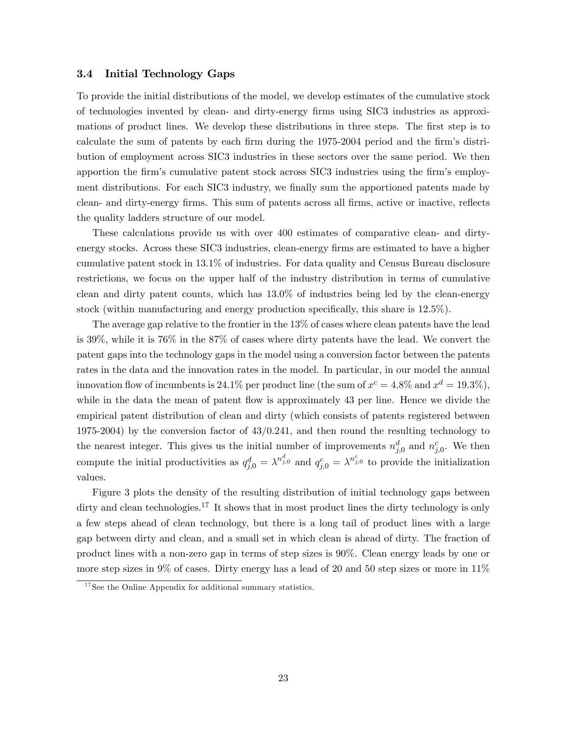#### 3.4 Initial Technology Gaps

To provide the initial distributions of the model, we develop estimates of the cumulative stock of technologies invented by clean- and dirty-energy Örms using SIC3 industries as approximations of product lines. We develop these distributions in three steps. The first step is to calculate the sum of patents by each firm during the 1975-2004 period and the firm's distribution of employment across SIC3 industries in these sectors over the same period. We then apportion the firm's cumulative patent stock across SIC3 industries using the firm's employment distributions. For each SIC3 industry, we finally sum the apportioned patents made by clean- and dirty-energy firms. This sum of patents across all firms, active or inactive, reflects the quality ladders structure of our model.

These calculations provide us with over 400 estimates of comparative clean- and dirtyenergy stocks. Across these SIC3 industries, clean-energy firms are estimated to have a higher cumulative patent stock in 13.1% of industries. For data quality and Census Bureau disclosure restrictions, we focus on the upper half of the industry distribution in terms of cumulative clean and dirty patent counts, which has 13.0% of industries being led by the clean-energy stock (within manufacturing and energy production specifically, this share is  $12.5\%$ ).

The average gap relative to the frontier in the 13% of cases where clean patents have the lead is 39%, while it is 76% in the 87% of cases where dirty patents have the lead. We convert the patent gaps into the technology gaps in the model using a conversion factor between the patents rates in the data and the innovation rates in the model. In particular, in our model the annual innovation flow of incumbents is 24.1% per product line (the sum of  $x^c = 4.8\%$  and  $x^d = 19.3\%$ ), while in the data the mean of patent flow is approximately 43 per line. Hence we divide the empirical patent distribution of clean and dirty (which consists of patents registered between 1975-2004) by the conversion factor of  $43/0.241$ , and then round the resulting technology to the nearest integer. This gives us the initial number of improvements  $n_{j,0}^d$  and  $n_{j,0}^c$ . We then compute the initial productivities as  $q_{j,0}^d = \lambda^{n_{j,0}^d}$  and  $q_{j,0}^c = \lambda^{n_{j,0}^c}$  to provide the initialization values.

Figure 3 plots the density of the resulting distribution of initial technology gaps between dirty and clean technologies.<sup>17</sup> It shows that in most product lines the dirty technology is only a few steps ahead of clean technology, but there is a long tail of product lines with a large gap between dirty and clean, and a small set in which clean is ahead of dirty. The fraction of product lines with a non-zero gap in terms of step sizes is 90%. Clean energy leads by one or more step sizes in 9% of cases. Dirty energy has a lead of 20 and 50 step sizes or more in  $11\%$ 

<sup>&</sup>lt;sup>17</sup>See the Online Appendix for additional summary statistics.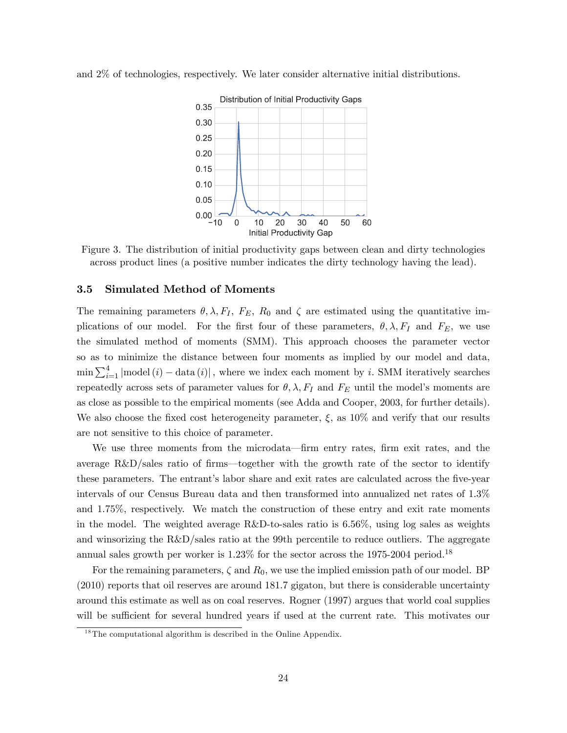

and 2% of technologies, respectively. We later consider alternative initial distributions.

Figure 3. The distribution of initial productivity gaps between clean and dirty technologies across product lines (a positive number indicates the dirty technology having the lead).

### 3.5 Simulated Method of Moments

The remaining parameters  $\theta$ ,  $\lambda$ ,  $F_I$ ,  $F_E$ ,  $R_0$  and  $\zeta$  are estimated using the quantitative implications of our model. For the first four of these parameters,  $\theta$ ,  $\lambda$ ,  $F_I$  and  $F_E$ , we use the simulated method of moments (SMM). This approach chooses the parameter vector so as to minimize the distance between four moments as implied by our model and data,  $\min\sum_{i=1}^{4} |\text{model}(i) - \text{data}(i)|$ , where we index each moment by i. SMM iteratively searches repeatedly across sets of parameter values for  $\theta$ ,  $\lambda$ ,  $F_I$  and  $F_E$  until the model's moments are as close as possible to the empirical moments (see Adda and Cooper, 2003, for further details). We also choose the fixed cost heterogeneity parameter,  $\xi$ , as 10% and verify that our results are not sensitive to this choice of parameter.

We use three moments from the microdata—firm entry rates, firm exit rates, and the average  $R&D/sales$  ratio of firms—together with the growth rate of the sector to identify these parameters. The entrant's labor share and exit rates are calculated across the five-year intervals of our Census Bureau data and then transformed into annualized net rates of 1:3% and 1:75%, respectively. We match the construction of these entry and exit rate moments in the model. The weighted average R&D-to-sales ratio is 6:56%, using log sales as weights and winsorizing the R&D/sales ratio at the 99th percentile to reduce outliers. The aggregate annual sales growth per worker is  $1.23\%$  for the sector across the 1975-2004 period.<sup>18</sup>

For the remaining parameters,  $\zeta$  and  $R_0$ , we use the implied emission path of our model. BP (2010) reports that oil reserves are around 181.7 gigaton, but there is considerable uncertainty around this estimate as well as on coal reserves. Rogner (1997) argues that world coal supplies will be sufficient for several hundred years if used at the current rate. This motivates our

 $18$ <sup>18</sup>The computational algorithm is described in the Online Appendix.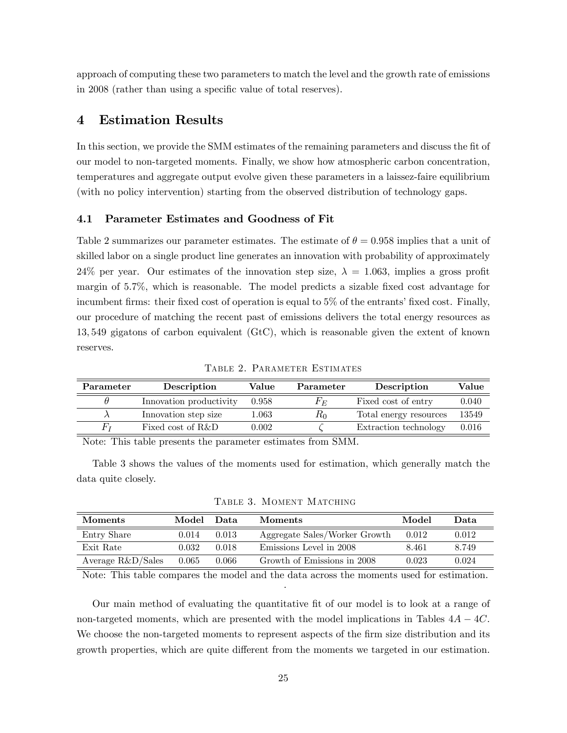approach of computing these two parameters to match the level and the growth rate of emissions in 2008 (rather than using a specific value of total reserves).

# 4 Estimation Results

In this section, we provide the SMM estimates of the remaining parameters and discuss the fit of our model to non-targeted moments. Finally, we show how atmospheric carbon concentration, temperatures and aggregate output evolve given these parameters in a laissez-faire equilibrium (with no policy intervention) starting from the observed distribution of technology gaps.

### 4.1 Parameter Estimates and Goodness of Fit

Table 2 summarizes our parameter estimates. The estimate of  $\theta = 0.958$  implies that a unit of skilled labor on a single product line generates an innovation with probability of approximately 24% per year. Our estimates of the innovation step size,  $\lambda = 1.063$ , implies a gross profit margin of 5.7%, which is reasonable. The model predicts a sizable fixed cost advantage for incumbent firms: their fixed cost of operation is equal to  $5\%$  of the entrants' fixed cost. Finally, our procedure of matching the recent past of emissions delivers the total energy resources as 13; 549 gigatons of carbon equivalent (GtC), which is reasonable given the extent of known reserves.

Table 2. Parameter Estimates

| Parameter | Description             | Value     | Parameter | Description            | Value |
|-----------|-------------------------|-----------|-----------|------------------------|-------|
|           | Innovation productivity | 0.958     | $F_F$     | Fixed cost of entry    | 0.040 |
|           | Innovation step size    | $1.063\,$ | Ro        | Total energy resources | 13549 |
| $F_I$     | Fixed cost of R&D       | 0.002     |           | Extraction technology  | 0.016 |
|           |                         |           | -------   |                        |       |

Note: This table presents the parameter estimates from SMM.

Table 3 shows the values of the moments used for estimation, which generally match the data quite closely.

| <b>Moments</b>       | Model Data |       | <b>Moments</b>                | Model | Data  |
|----------------------|------------|-------|-------------------------------|-------|-------|
| Entry Share          | 0.014      | 0.013 | Aggregate Sales/Worker Growth | 0.012 | 0.012 |
| Exit Rate            | 0.032.     | 0.018 | Emissions Level in 2008       | 8.461 | 8.749 |
| Average $R\&D/Sales$ | 0.065      | 0.066 | Growth of Emissions in 2008   | 0.023 | 0.024 |

TABLE 3. MOMENT MATCHING

Note: This table compares the model and the data across the moments used for estimation. .

Our main method of evaluating the quantitative Öt of our model is to look at a range of non-targeted moments, which are presented with the model implications in Tables  $4A - 4C$ . We choose the non-targeted moments to represent aspects of the firm size distribution and its growth properties, which are quite different from the moments we targeted in our estimation.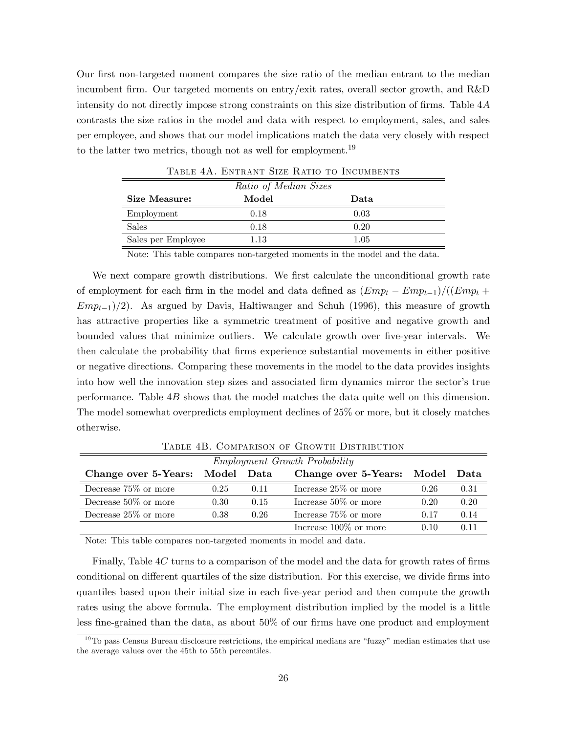Our first non-targeted moment compares the size ratio of the median entrant to the median incumbent firm. Our targeted moments on entry/exit rates, overall sector growth, and R&D intensity do not directly impose strong constraints on this size distribution of firms. Table  $4A$ contrasts the size ratios in the model and data with respect to employment, sales, and sales per employee, and shows that our model implications match the data very closely with respect to the latter two metrics, though not as well for employment.<sup>19</sup>

|                    | Ratio of Median Sizes |      |  |
|--------------------|-----------------------|------|--|
| Size Measure:      | Model                 | Data |  |
| Employment         | 0.18                  | 0.03 |  |
| <b>Sales</b>       | 0.18                  | 0.20 |  |
| Sales per Employee | 1.13                  | 1.05 |  |

Table 4A. Entrant Size Ratio to Incumbents

Note: This table compares non-targeted moments in the model and the data.

We next compare growth distributions. We first calculate the unconditional growth rate of employment for each firm in the model and data defined as  $(Emp_t - Emp_{t-1})/((Emp_t +$  $Emp_{t-1}/2$ . As argued by Davis, Haltiwanger and Schuh (1996), this measure of growth has attractive properties like a symmetric treatment of positive and negative growth and bounded values that minimize outliers. We calculate growth over Öve-year intervals. We then calculate the probability that Örms experience substantial movements in either positive or negative directions. Comparing these movements in the model to the data provides insights into how well the innovation step sizes and associated firm dynamics mirror the sector's true performance. Table 4B shows that the model matches the data quite well on this dimension. The model somewhat overpredicts employment declines of 25% or more, but it closely matches otherwise.

| <i>Employment Growth Probability</i> |      |      |                                 |      |      |
|--------------------------------------|------|------|---------------------------------|------|------|
| Change over 5-Years: Model Data      |      |      | Change over 5-Years: Model Data |      |      |
| Decrease $75\%$ or more              | 0.25 | 0.11 | Increase $25\%$ or more         | 0.26 | 0.31 |
| Decrease $50\%$ or more              | 0.30 | 0.15 | Increase $50\%$ or more         | 0.20 | 0.20 |
| Decrease $25\%$ or more              | 0.38 | 0.26 | Increase 75\% or more           | 0.17 | 0.14 |
|                                      |      |      | Increase $100\%$ or more        | 0.10 | 0.11 |

Table 4B. Comparison of Growth Distribution

Note: This table compares non-targeted moments in model and data.

Finally, Table  $4C$  turns to a comparison of the model and the data for growth rates of firms conditional on different quartiles of the size distribution. For this exercise, we divide firms into quantiles based upon their initial size in each Öve-year period and then compute the growth rates using the above formula. The employment distribution implied by the model is a little less fine-grained than the data, as about  $50\%$  of our firms have one product and employment

 $19\,\text{T}$  pass Census Bureau disclosure restrictions, the empirical medians are "fuzzy" median estimates that use the average values over the 45th to 55th percentiles.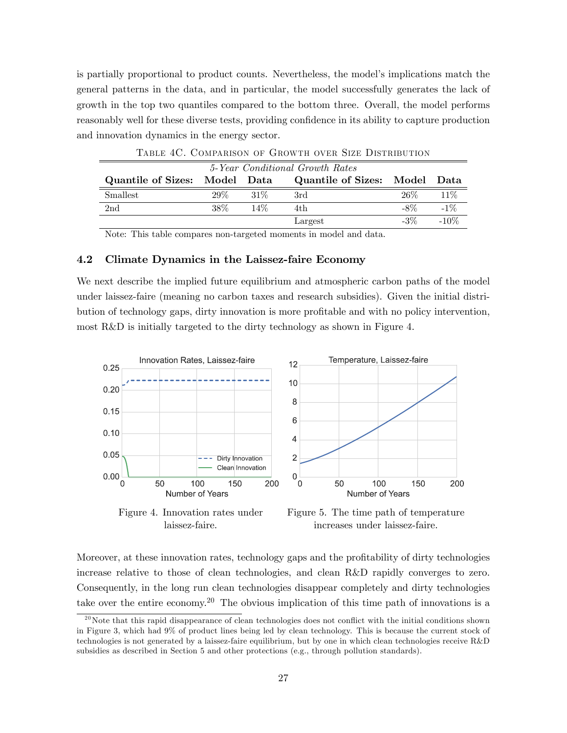is partially proportional to product counts. Nevertheless, the model's implications match the general patterns in the data, and in particular, the model successfully generates the lack of growth in the top two quantiles compared to the bottom three. Overall, the model performs reasonably well for these diverse tests, providing confidence in its ability to capture production and innovation dynamics in the energy sector.

| 5-Year Conditional Growth Rates |      |        |                               |        |         |  |
|---------------------------------|------|--------|-------------------------------|--------|---------|--|
| Quantile of Sizes: Model Data   |      |        | Quantile of Sizes: Model Data |        |         |  |
| Smallest                        | 29%  | $31\%$ | 3rd                           | 26%    | $11\%$  |  |
| 2nd                             | 38\% | $14\%$ | 4th                           | $-8\%$ | $-1\%$  |  |
|                                 |      |        | Largest                       | $-3\%$ | $-10\%$ |  |

|  | TABLE 4C. COMPARISON OF GROWTH OVER SIZE DISTRIBUTION |  |  |  |
|--|-------------------------------------------------------|--|--|--|
|  |                                                       |  |  |  |

Note: This table compares non-targeted moments in model and data.

### 4.2 Climate Dynamics in the Laissez-faire Economy

We next describe the implied future equilibrium and atmospheric carbon paths of the model under laissez-faire (meaning no carbon taxes and research subsidies). Given the initial distribution of technology gaps, dirty innovation is more profitable and with no policy intervention, most R&D is initially targeted to the dirty technology as shown in Figure 4.



Moreover, at these innovation rates, technology gaps and the profitability of dirty technologies increase relative to those of clean technologies, and clean R&D rapidly converges to zero. Consequently, in the long run clean technologies disappear completely and dirty technologies take over the entire economy.<sup>20</sup> The obvious implication of this time path of innovations is a

 $^{20}$ Note that this rapid disappearance of clean technologies does not conflict with the initial conditions shown in Figure 3, which had 9% of product lines being led by clean technology. This is because the current stock of technologies is not generated by a laissez-faire equilibrium, but by one in which clean technologies receive R&D subsidies as described in Section 5 and other protections (e.g., through pollution standards).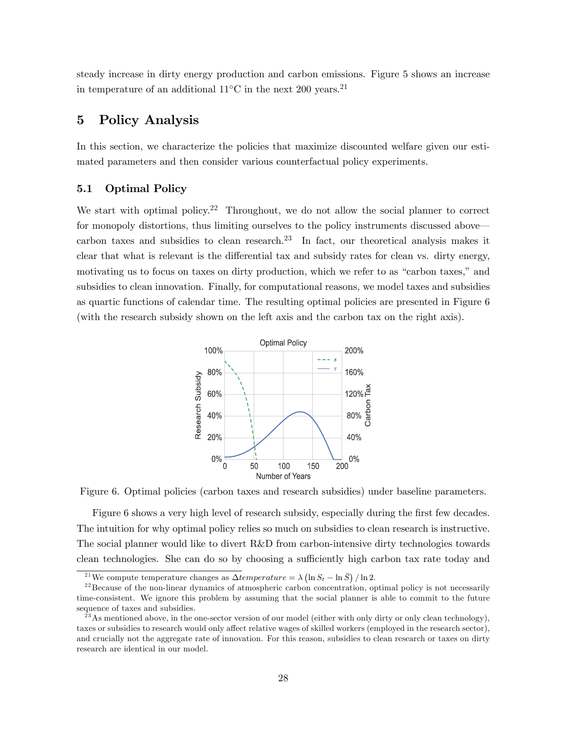steady increase in dirty energy production and carbon emissions. Figure 5 shows an increase in temperature of an additional  $11^{\circ}$ C in the next 200 years.<sup>21</sup>

### 5 Policy Analysis

In this section, we characterize the policies that maximize discounted welfare given our estimated parameters and then consider various counterfactual policy experiments.

### 5.1 Optimal Policy

We start with optimal policy.<sup>22</sup> Throughout, we do not allow the social planner to correct for monopoly distortions, thus limiting ourselves to the policy instruments discussed above carbon taxes and subsidies to clean research.<sup>23</sup> In fact, our theoretical analysis makes it clear that what is relevant is the differential tax and subsidy rates for clean vs. dirty energy, motivating us to focus on taxes on dirty production, which we refer to as "carbon taxes," and subsidies to clean innovation. Finally, for computational reasons, we model taxes and subsidies as quartic functions of calendar time. The resulting optimal policies are presented in Figure 6 (with the research subsidy shown on the left axis and the carbon tax on the right axis).



Figure 6. Optimal policies (carbon taxes and research subsidies) under baseline parameters.

Figure 6 shows a very high level of research subsidy, especially during the first few decades. The intuition for why optimal policy relies so much on subsidies to clean research is instructive. The social planner would like to divert R&D from carbon-intensive dirty technologies towards clean technologies. She can do so by choosing a sufficiently high carbon tax rate today and

<sup>&</sup>lt;sup>21</sup>We compute temperature changes as  $\triangle$ temperature =  $\lambda (\ln S_t - \ln \bar{S}) / \ln 2$ .

 $22$ Because of the non-linear dynamics of atmospheric carbon concentration, optimal policy is not necessarily time-consistent. We ignore this problem by assuming that the social planner is able to commit to the future sequence of taxes and subsidies.

<sup>&</sup>lt;sup>23</sup>As mentioned above, in the one-sector version of our model (either with only dirty or only clean technology), taxes or subsidies to research would only affect relative wages of skilled workers (employed in the research sector), and crucially not the aggregate rate of innovation. For this reason, subsidies to clean research or taxes on dirty research are identical in our model.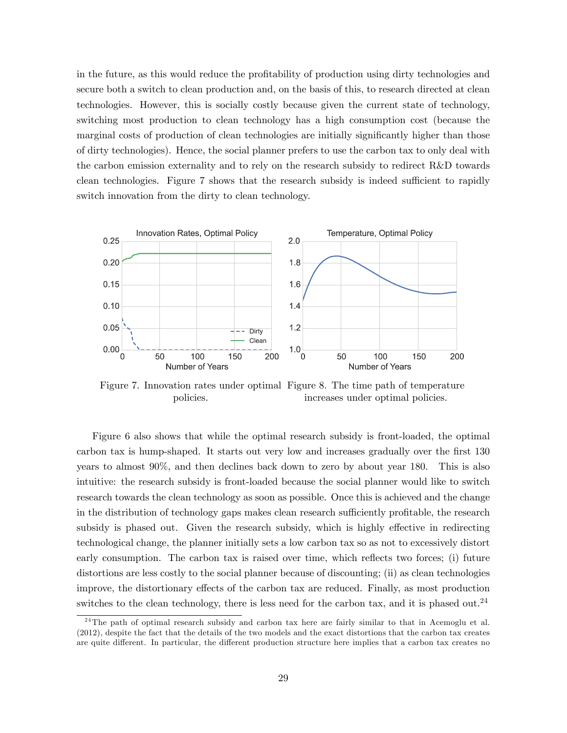in the future, as this would reduce the profitability of production using dirty technologies and secure both a switch to clean production and, on the basis of this, to research directed at clean technologies. However, this is socially costly because given the current state of technology, switching most production to clean technology has a high consumption cost (because the marginal costs of production of clean technologies are initially significantly higher than those of dirty technologies). Hence, the social planner prefers to use the carbon tax to only deal with the carbon emission externality and to rely on the research subsidy to redirect R&D towards clean technologies. Figure 7 shows that the research subsidy is indeed sufficient to rapidly switch innovation from the dirty to clean technology.



Figure 7. Innovation rates under optimal Figure 8. The time path of temperature policies. increases under optimal policies.

Figure 6 also shows that while the optimal research subsidy is front-loaded, the optimal carbon tax is hump-shaped. It starts out very low and increases gradually over the first 130 years to almost 90%, and then declines back down to zero by about year 180. This is also intuitive: the research subsidy is front-loaded because the social planner would like to switch research towards the clean technology as soon as possible. Once this is achieved and the change in the distribution of technology gaps makes clean research sufficiently profitable, the research subsidy is phased out. Given the research subsidy, which is highly effective in redirecting technological change, the planner initially sets a low carbon tax so as not to excessively distort early consumption. The carbon tax is raised over time, which reflects two forces; (i) future distortions are less costly to the social planner because of discounting; (ii) as clean technologies improve, the distortionary effects of the carbon tax are reduced. Finally, as most production switches to the clean technology, there is less need for the carbon tax, and it is phased out.<sup>24</sup>

 $24$ The path of optimal research subsidy and carbon tax here are fairly similar to that in Acemoglu et al. (2012), despite the fact that the details of the two models and the exact distortions that the carbon tax creates are quite different. In particular, the different production structure here implies that a carbon tax creates no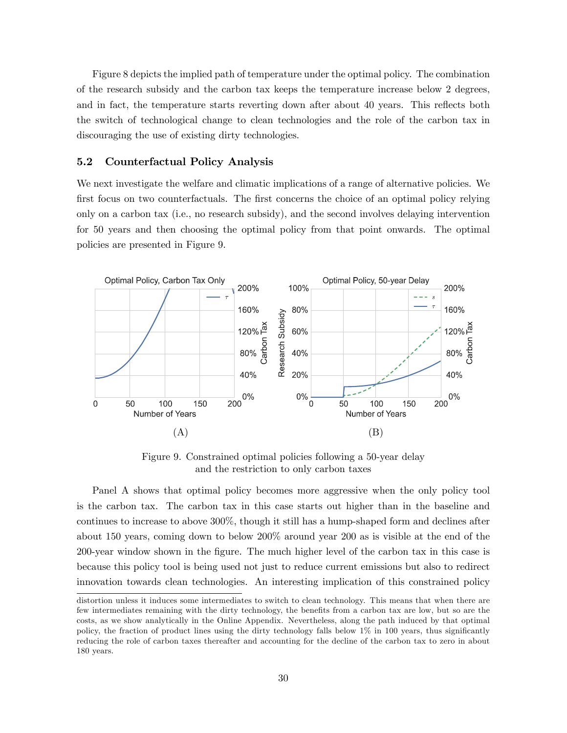Figure 8 depicts the implied path of temperature under the optimal policy. The combination of the research subsidy and the carbon tax keeps the temperature increase below 2 degrees, and in fact, the temperature starts reverting down after about 40 years. This reflects both the switch of technological change to clean technologies and the role of the carbon tax in discouraging the use of existing dirty technologies.

#### 5.2 Counterfactual Policy Analysis

We next investigate the welfare and climatic implications of a range of alternative policies. We first focus on two counterfactuals. The first concerns the choice of an optimal policy relying only on a carbon tax (i.e., no research subsidy), and the second involves delaying intervention for 50 years and then choosing the optimal policy from that point onwards. The optimal policies are presented in Figure 9.



Figure 9. Constrained optimal policies following a 50-year delay and the restriction to only carbon taxes

Panel A shows that optimal policy becomes more aggressive when the only policy tool is the carbon tax. The carbon tax in this case starts out higher than in the baseline and continues to increase to above 300%, though it still has a hump-shaped form and declines after about 150 years, coming down to below 200% around year 200 as is visible at the end of the 200-year window shown in the Ögure. The much higher level of the carbon tax in this case is because this policy tool is being used not just to reduce current emissions but also to redirect innovation towards clean technologies. An interesting implication of this constrained policy

distortion unless it induces some intermediates to switch to clean technology. This means that when there are few intermediates remaining with the dirty technology, the benefits from a carbon tax are low, but so are the costs, as we show analytically in the Online Appendix. Nevertheless, along the path induced by that optimal policy, the fraction of product lines using the dirty technology falls below  $1\%$  in 100 years, thus significantly reducing the role of carbon taxes thereafter and accounting for the decline of the carbon tax to zero in about 180 years.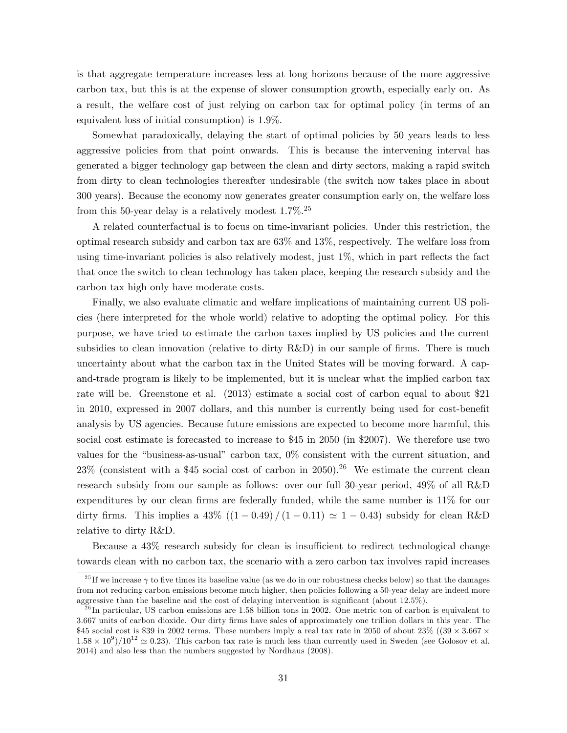is that aggregate temperature increases less at long horizons because of the more aggressive carbon tax, but this is at the expense of slower consumption growth, especially early on. As a result, the welfare cost of just relying on carbon tax for optimal policy (in terms of an equivalent loss of initial consumption) is 1:9%.

Somewhat paradoxically, delaying the start of optimal policies by 50 years leads to less aggressive policies from that point onwards. This is because the intervening interval has generated a bigger technology gap between the clean and dirty sectors, making a rapid switch from dirty to clean technologies thereafter undesirable (the switch now takes place in about 300 years). Because the economy now generates greater consumption early on, the welfare loss from this 50-year delay is a relatively modest  $1.7\%$ <sup>25</sup>

A related counterfactual is to focus on time-invariant policies. Under this restriction, the optimal research subsidy and carbon tax are  $63\%$  and  $13\%$ , respectively. The welfare loss from using time-invariant policies is also relatively modest, just  $1\%$ , which in part reflects the fact that once the switch to clean technology has taken place, keeping the research subsidy and the carbon tax high only have moderate costs.

Finally, we also evaluate climatic and welfare implications of maintaining current US policies (here interpreted for the whole world) relative to adopting the optimal policy. For this purpose, we have tried to estimate the carbon taxes implied by US policies and the current subsidies to clean innovation (relative to dirty  $R\&D$ ) in our sample of firms. There is much uncertainty about what the carbon tax in the United States will be moving forward. A capand-trade program is likely to be implemented, but it is unclear what the implied carbon tax rate will be. Greenstone et al. (2013) estimate a social cost of carbon equal to about \$21 in 2010, expressed in 2007 dollars, and this number is currently being used for cost-benefit analysis by US agencies. Because future emissions are expected to become more harmful, this social cost estimate is forecasted to increase to \$45 in 2050 (in \$2007). We therefore use two values for the "business-as-usual" carbon tax,  $0\%$  consistent with the current situation, and  $23\%$  (consistent with a \$45 social cost of carbon in 2050).<sup>26</sup> We estimate the current clean research subsidy from our sample as follows: over our full 30-year period, 49% of all R&D expenditures by our clean firms are federally funded, while the same number is  $11\%$  for our dirty firms. This implies a 43%  $((1 - 0.49) / (1 - 0.11) \approx 1 - 0.43)$  subsidy for clean R&D relative to dirty R&D.

Because a  $43\%$  research subsidy for clean is insufficient to redirect technological change towards clean with no carbon tax, the scenario with a zero carbon tax involves rapid increases

<sup>&</sup>lt;sup>25</sup> If we increase  $\gamma$  to five times its baseline value (as we do in our robustness checks below) so that the damages from not reducing carbon emissions become much higher, then policies following a 50-year delay are indeed more aggressive than the baseline and the cost of delaying intervention is significant (about  $12.5\%$ ).

 $\frac{26}{26}$  In particular, US carbon emissions are 1.58 billion tons in 2002. One metric ton of carbon is equivalent to 3.667 units of carbon dioxide. Our dirty firms have sales of approximately one trillion dollars in this year. The \$45 social cost is \$39 in 2002 terms. These numbers imply a real tax rate in 2050 of about  $23\%$  (( $39 \times 3.667 \times$  $1.58 \times 10^9)/10^{12} \simeq 0.23$ ). This carbon tax rate is much less than currently used in Sweden (see Golosov et al. 2014) and also less than the numbers suggested by Nordhaus (2008).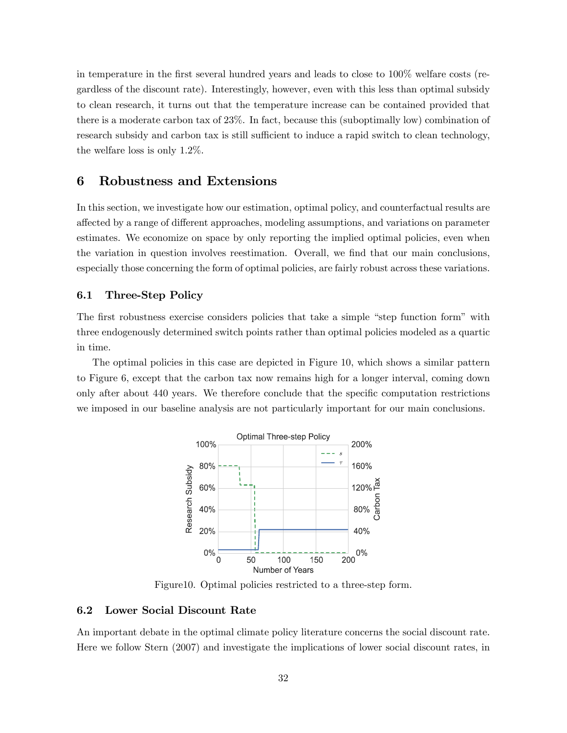in temperature in the first several hundred years and leads to close to 100% welfare costs (regardless of the discount rate). Interestingly, however, even with this less than optimal subsidy to clean research, it turns out that the temperature increase can be contained provided that there is a moderate carbon tax of 23%. In fact, because this (suboptimally low) combination of research subsidy and carbon tax is still sufficient to induce a rapid switch to clean technology, the welfare loss is only 1:2%.

### 6 Robustness and Extensions

In this section, we investigate how our estimation, optimal policy, and counterfactual results are affected by a range of different approaches, modeling assumptions, and variations on parameter estimates. We economize on space by only reporting the implied optimal policies, even when the variation in question involves reestimation. Overall, we find that our main conclusions, especially those concerning the form of optimal policies, are fairly robust across these variations.

### 6.1 Three-Step Policy

The first robustness exercise considers policies that take a simple "step function form" with three endogenously determined switch points rather than optimal policies modeled as a quartic in time.

The optimal policies in this case are depicted in Figure 10, which shows a similar pattern to Figure 6, except that the carbon tax now remains high for a longer interval, coming down only after about 440 years. We therefore conclude that the specific computation restrictions we imposed in our baseline analysis are not particularly important for our main conclusions.



Figure10. Optimal policies restricted to a three-step form.

### 6.2 Lower Social Discount Rate

An important debate in the optimal climate policy literature concerns the social discount rate. Here we follow Stern (2007) and investigate the implications of lower social discount rates, in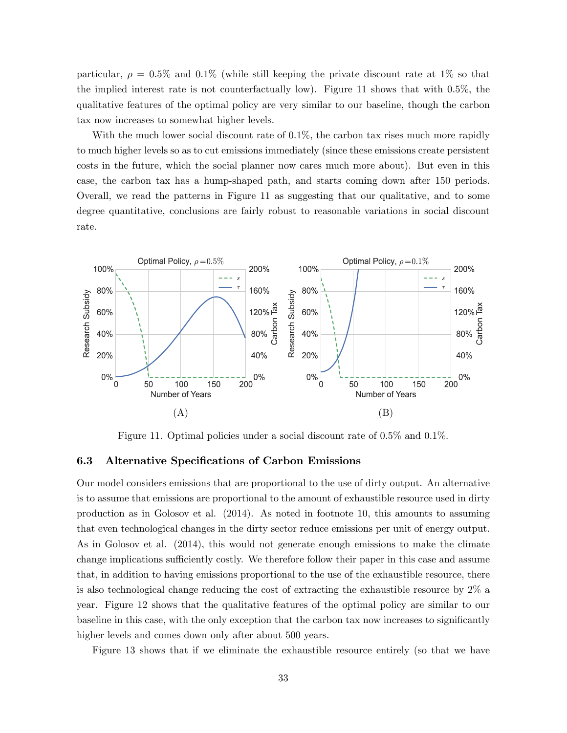particular,  $\rho = 0.5\%$  and 0.1% (while still keeping the private discount rate at 1% so that the implied interest rate is not counterfactually low). Figure 11 shows that with 0.5%, the qualitative features of the optimal policy are very similar to our baseline, though the carbon tax now increases to somewhat higher levels.

With the much lower social discount rate of 0.1%, the carbon tax rises much more rapidly to much higher levels so as to cut emissions immediately (since these emissions create persistent costs in the future, which the social planner now cares much more about). But even in this case, the carbon tax has a hump-shaped path, and starts coming down after 150 periods. Overall, we read the patterns in Figure 11 as suggesting that our qualitative, and to some degree quantitative, conclusions are fairly robust to reasonable variations in social discount rate.



Figure 11. Optimal policies under a social discount rate of 0.5% and 0.1%.

### 6.3 Alternative Specifications of Carbon Emissions

Our model considers emissions that are proportional to the use of dirty output. An alternative is to assume that emissions are proportional to the amount of exhaustible resource used in dirty production as in Golosov et al. (2014). As noted in footnote 10, this amounts to assuming that even technological changes in the dirty sector reduce emissions per unit of energy output. As in Golosov et al. (2014), this would not generate enough emissions to make the climate change implications sufficiently costly. We therefore follow their paper in this case and assume that, in addition to having emissions proportional to the use of the exhaustible resource, there is also technological change reducing the cost of extracting the exhaustible resource by 2% a year. Figure 12 shows that the qualitative features of the optimal policy are similar to our baseline in this case, with the only exception that the carbon tax now increases to significantly higher levels and comes down only after about 500 years.

Figure 13 shows that if we eliminate the exhaustible resource entirely (so that we have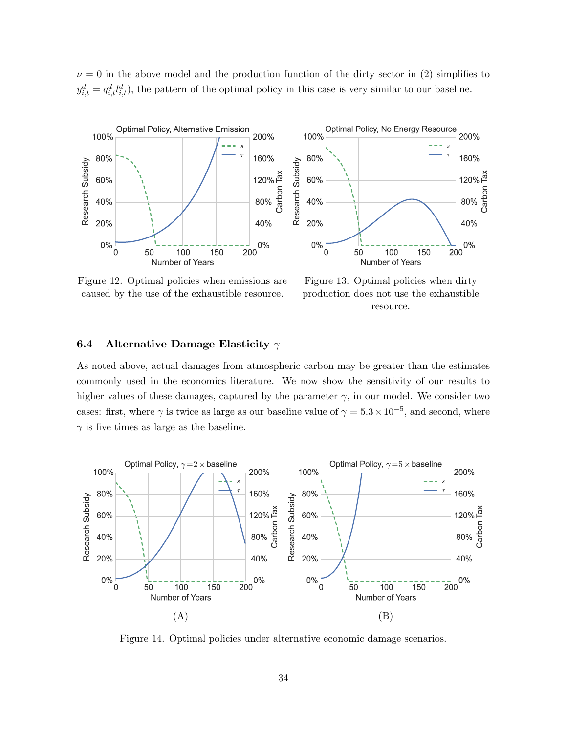$\nu = 0$  in the above model and the production function of the dirty sector in (2) simplifies to  $y_{i,t}^d = q_{i,t}^d l_{i,t}^d$ , the pattern of the optimal policy in this case is very similar to our baseline.





Figure 12. Optimal policies when emissions are caused by the use of the exhaustible resource.

Figure 13. Optimal policies when dirty production does not use the exhaustible resource.

### 6.4 Alternative Damage Elasticity  $\gamma$

As noted above, actual damages from atmospheric carbon may be greater than the estimates commonly used in the economics literature. We now show the sensitivity of our results to higher values of these damages, captured by the parameter  $\gamma$ , in our model. We consider two cases: first, where  $\gamma$  is twice as large as our baseline value of  $\gamma = 5.3 \times 10^{-5}$ , and second, where  $\gamma$  is five times as large as the baseline.



Figure 14. Optimal policies under alternative economic damage scenarios.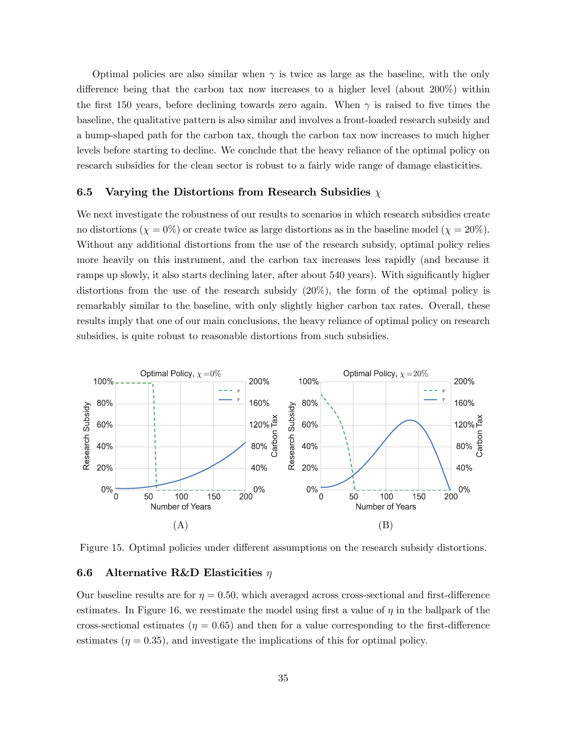Optimal policies are also similar when  $\gamma$  is twice as large as the baseline, with the only difference being that the carbon tax now increases to a higher level (about  $200\%$ ) within the first 150 years, before declining towards zero again. When  $\gamma$  is raised to five times the baseline, the qualitative pattern is also similar and involves a front-loaded research subsidy and a hump-shaped path for the carbon tax, though the carbon tax now increases to much higher levels before starting to decline. We conclude that the heavy reliance of the optimal policy on research subsidies for the clean sector is robust to a fairly wide range of damage elasticities.

### 6.5 Varying the Distortions from Research Subsidies  $\chi$

We next investigate the robustness of our results to scenarios in which research subsidies create no distortions ( $\chi = 0\%$ ) or create twice as large distortions as in the baseline model ( $\chi = 20\%$ ). Without any additional distortions from the use of the research subsidy, optimal policy relies more heavily on this instrument, and the carbon tax increases less rapidly (and because it ramps up slowly, it also starts declining later, after about 540 years). With significantly higher distortions from the use of the research subsidy (20%), the form of the optimal policy is remarkably similar to the baseline, with only slightly higher carbon tax rates. Overall, these results imply that one of our main conclusions, the heavy reliance of optimal policy on research subsidies, is quite robust to reasonable distortions from such subsidies.



Figure 15. Optimal policies under different assumptions on the research subsidy distortions.

#### 6.6 Alternative R&D Elasticities  $\eta$

Our baseline results are for  $\eta = 0.50$ , which averaged across cross-sectional and first-difference estimates. In Figure 16, we reestimate the model using first a value of  $\eta$  in the ballpark of the cross-sectional estimates ( $\eta = 0.65$ ) and then for a value corresponding to the first-difference estimates ( $\eta = 0.35$ ), and investigate the implications of this for optimal policy.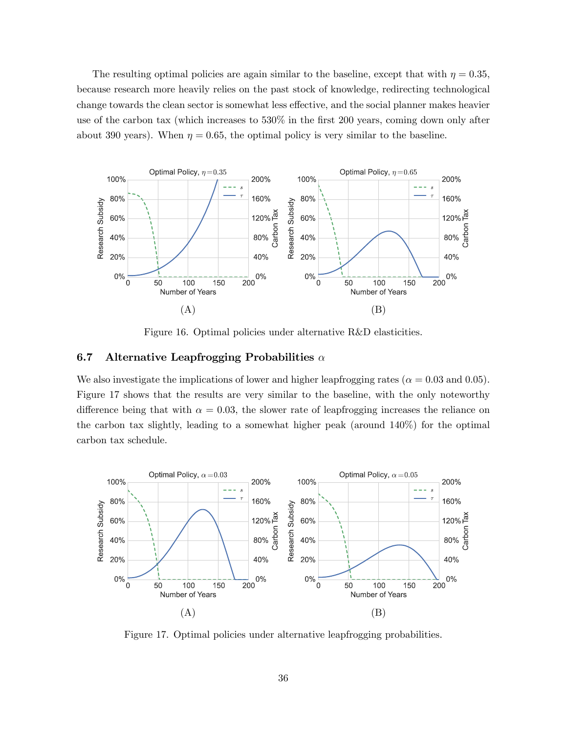The resulting optimal policies are again similar to the baseline, except that with  $\eta = 0.35$ , because research more heavily relies on the past stock of knowledge, redirecting technological change towards the clean sector is somewhat less effective, and the social planner makes heavier use of the carbon tax (which increases to  $530\%$  in the first 200 years, coming down only after about 390 years). When  $\eta = 0.65$ , the optimal policy is very similar to the baseline.



Figure 16. Optimal policies under alternative R&D elasticities.

### 6.7 Alternative Leapfrogging Probabilities  $\alpha$

We also investigate the implications of lower and higher leapfrogging rates ( $\alpha = 0.03$  and 0.05). Figure 17 shows that the results are very similar to the baseline, with the only noteworthy difference being that with  $\alpha = 0.03$ , the slower rate of leapfrogging increases the reliance on the carbon tax slightly, leading to a somewhat higher peak (around 140%) for the optimal carbon tax schedule.



Figure 17. Optimal policies under alternative leapfrogging probabilities.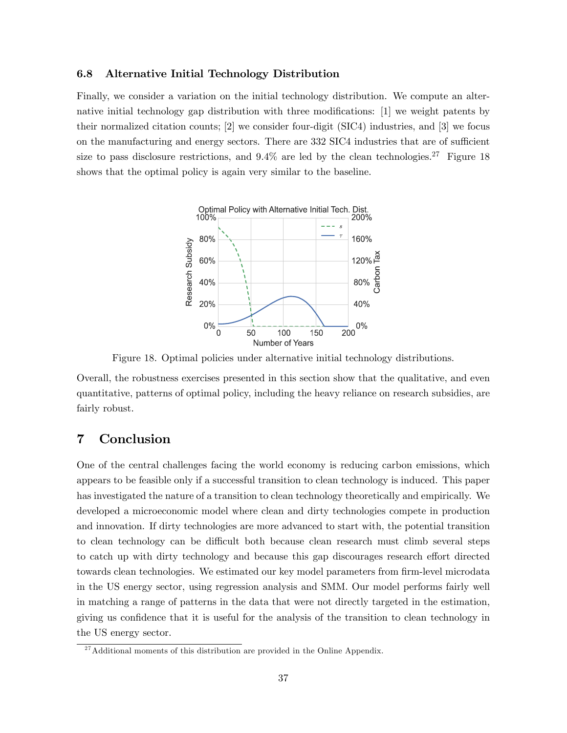### 6.8 Alternative Initial Technology Distribution

Finally, we consider a variation on the initial technology distribution. We compute an alternative initial technology gap distribution with three modifications:  $[1]$  we weight patents by their normalized citation counts; [2] we consider four-digit (SIC4) industries, and [3] we focus on the manufacturing and energy sectors. There are  $332$  SIC4 industries that are of sufficient size to pass disclosure restrictions, and  $9.4\%$  are led by the clean technologies.<sup>27</sup> Figure 18 shows that the optimal policy is again very similar to the baseline.



Figure 18. Optimal policies under alternative initial technology distributions.

Overall, the robustness exercises presented in this section show that the qualitative, and even quantitative, patterns of optimal policy, including the heavy reliance on research subsidies, are fairly robust.

# 7 Conclusion

One of the central challenges facing the world economy is reducing carbon emissions, which appears to be feasible only if a successful transition to clean technology is induced. This paper has investigated the nature of a transition to clean technology theoretically and empirically. We developed a microeconomic model where clean and dirty technologies compete in production and innovation. If dirty technologies are more advanced to start with, the potential transition to clean technology can be difficult both because clean research must climb several steps to catch up with dirty technology and because this gap discourages research effort directed towards clean technologies. We estimated our key model parameters from firm-level microdata in the US energy sector, using regression analysis and SMM. Our model performs fairly well in matching a range of patterns in the data that were not directly targeted in the estimation, giving us confidence that it is useful for the analysis of the transition to clean technology in the US energy sector.

 $27$ Additional moments of this distribution are provided in the Online Appendix.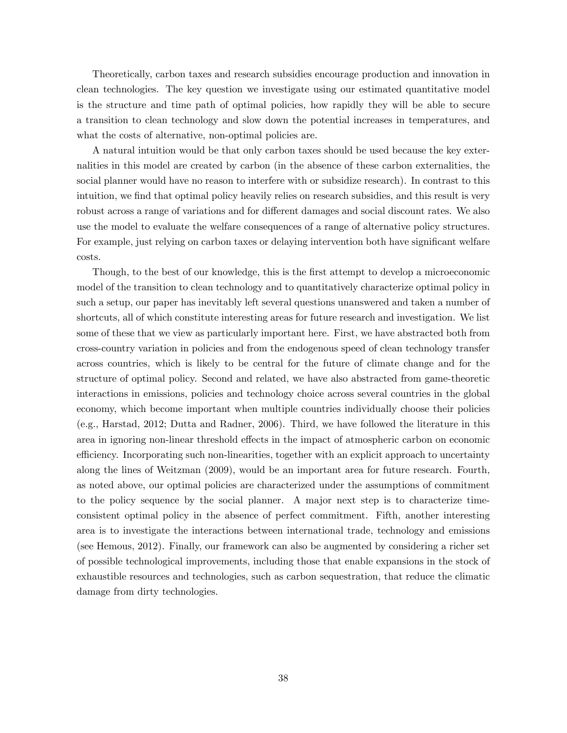Theoretically, carbon taxes and research subsidies encourage production and innovation in clean technologies. The key question we investigate using our estimated quantitative model is the structure and time path of optimal policies, how rapidly they will be able to secure a transition to clean technology and slow down the potential increases in temperatures, and what the costs of alternative, non-optimal policies are.

A natural intuition would be that only carbon taxes should be used because the key externalities in this model are created by carbon (in the absence of these carbon externalities, the social planner would have no reason to interfere with or subsidize research). In contrast to this intuition, we find that optimal policy heavily relies on research subsidies, and this result is very robust across a range of variations and for different damages and social discount rates. We also use the model to evaluate the welfare consequences of a range of alternative policy structures. For example, just relying on carbon taxes or delaying intervention both have significant welfare costs.

Though, to the best of our knowledge, this is the first attempt to develop a microeconomic model of the transition to clean technology and to quantitatively characterize optimal policy in such a setup, our paper has inevitably left several questions unanswered and taken a number of shortcuts, all of which constitute interesting areas for future research and investigation. We list some of these that we view as particularly important here. First, we have abstracted both from cross-country variation in policies and from the endogenous speed of clean technology transfer across countries, which is likely to be central for the future of climate change and for the structure of optimal policy. Second and related, we have also abstracted from game-theoretic interactions in emissions, policies and technology choice across several countries in the global economy, which become important when multiple countries individually choose their policies (e.g., Harstad, 2012; Dutta and Radner, 2006). Third, we have followed the literature in this area in ignoring non-linear threshold effects in the impact of atmospheric carbon on economic efficiency. Incorporating such non-linearities, together with an explicit approach to uncertainty along the lines of Weitzman (2009), would be an important area for future research. Fourth, as noted above, our optimal policies are characterized under the assumptions of commitment to the policy sequence by the social planner. A major next step is to characterize timeconsistent optimal policy in the absence of perfect commitment. Fifth, another interesting area is to investigate the interactions between international trade, technology and emissions (see Hemous, 2012). Finally, our framework can also be augmented by considering a richer set of possible technological improvements, including those that enable expansions in the stock of exhaustible resources and technologies, such as carbon sequestration, that reduce the climatic damage from dirty technologies.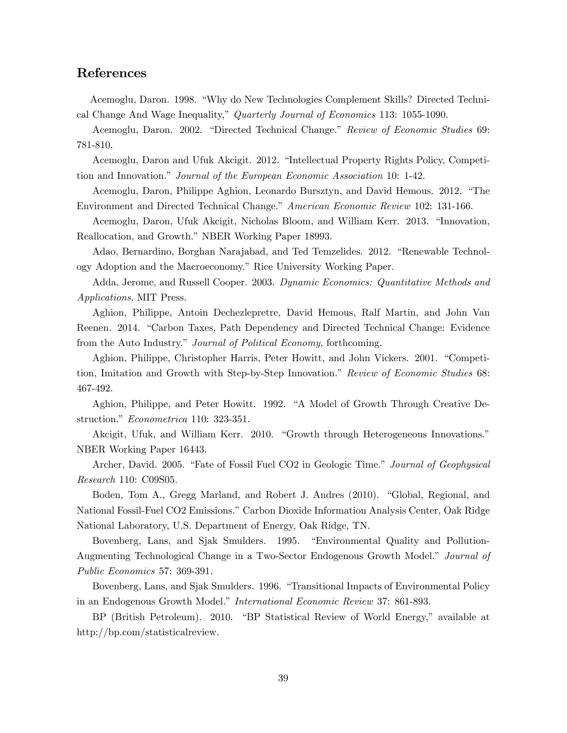### References

Acemoglu, Daron. 1998. "Why do New Technologies Complement Skills? Directed Technical Change And Wage Inequality," Quarterly Journal of Economics 113: 1055-1090.

Acemoglu, Daron. 2002. "Directed Technical Change." Review of Economic Studies 69: 781-810.

Acemoglu, Daron and Ufuk Akcigit. 2012. "Intellectual Property Rights Policy, Competition and Innovation." Journal of the European Economic Association 10: 1-42.

Acemoglu, Daron, Philippe Aghion, Leonardo Bursztyn, and David Hemous. 2012. *"The* Environment and Directed Technical Change." American Economic Review 102: 131-166.

Acemoglu, Daron, Ufuk Akcigit, Nicholas Bloom, and William Kerr. 2013. "Innovation, Reallocation, and Growth." NBER Working Paper 18993.

Adao, Bernardino, Borghan Narajabad, and Ted Temzelides. 2012. *"Renewable Technol*ogy Adoption and the Macroeconomy." Rice University Working Paper.

Adda, Jerome, and Russell Cooper. 2003. Dynamic Economics: Quantitative Methods and Applications, MIT Press.

Aghion, Philippe, Antoin Dechezlepretre, David Hemous, Ralf Martin, and John Van Reenen. 2014. "Carbon Taxes, Path Dependency and Directed Technical Change: Evidence from the Auto Industry." Journal of Political Economy, forthcoming.

Aghion, Philippe, Christopher Harris, Peter Howitt, and John Vickers. 2001. "Competition, Imitation and Growth with Step-by-Step Innovation." Review of Economic Studies 68: 467-492.

Aghion, Philippe, and Peter Howitt. 1992. "A Model of Growth Through Creative Destruction." Econometrica 110: 323-351.

Akcigit, Ufuk, and William Kerr. 2010. "Growth through Heterogeneous Innovations." NBER Working Paper 16443.

Archer, David. 2005. "Fate of Fossil Fuel CO2 in Geologic Time." Journal of Geophysical Research 110: C09S05.

Boden, Tom A., Gregg Marland, and Robert J. Andres (2010). "Global, Regional, and National Fossil-Fuel CO2 Emissions." Carbon Dioxide Information Analysis Center, Oak Ridge National Laboratory, U.S. Department of Energy, Oak Ridge, TN.

Bovenberg, Lans, and Sjak Smulders. 1995. "Environmental Quality and Pollution-Augmenting Technological Change in a Two-Sector Endogenous Growth Model.<sup>n</sup> Journal of Public Economics 57: 369-391.

Bovenberg, Lans, and Sjak Smulders. 1996. "Transitional Impacts of Environmental Policy in an Endogenous Growth Model." *International Economic Review* 37: 861-893.

BP (British Petroleum). 2010. "BP Statistical Review of World Energy," available at http://bp.com/statisticalreview.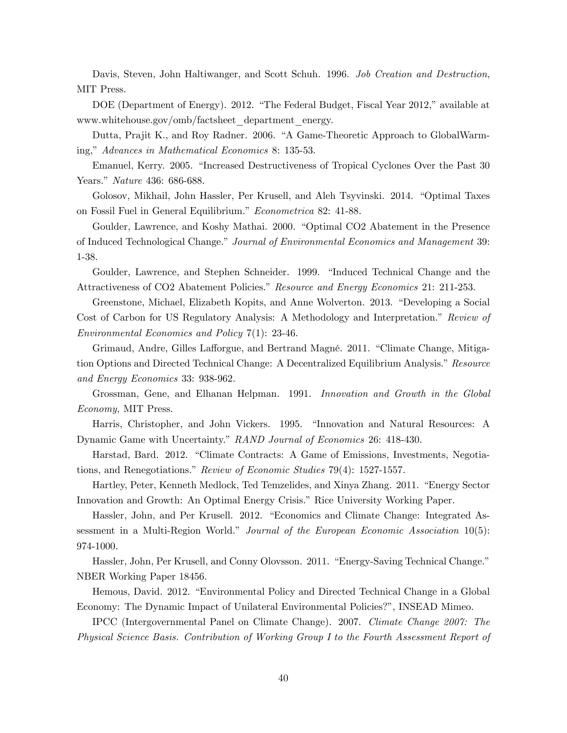Davis, Steven, John Haltiwanger, and Scott Schuh. 1996. Job Creation and Destruction, MIT Press.

DOE (Department of Energy). 2012. "The Federal Budget, Fiscal Year 2012," available at www.whitehouse.gov/omb/factsheet\_department\_energy.

Dutta, Prajit K., and Roy Radner. 2006. "A Game-Theoretic Approach to GlobalWarming," Advances in Mathematical Economics 8: 135-53.

Emanuel, Kerry. 2005. "Increased Destructiveness of Tropical Cyclones Over the Past 30 Years." Nature 436: 686-688.

Golosov, Mikhail, John Hassler, Per Krusell, and Aleh Tsyvinski. 2014. "Optimal Taxes on Fossil Fuel in General Equilibrium." Econometrica 82: 41-88.

Goulder, Lawrence, and Koshy Mathai. 2000. "Optimal CO2 Abatement in the Presence of Induced Technological Change." Journal of Environmental Economics and Management 39: 1-38.

Goulder, Lawrence, and Stephen Schneider. 1999. "Induced Technical Change and the Attractiveness of CO2 Abatement Policies." Resource and Energy Economics 21: 211-253.

Greenstone, Michael, Elizabeth Kopits, and Anne Wolverton. 2013. "Developing a Social Cost of Carbon for US Regulatory Analysis: A Methodology and Interpretation." Review of Environmental Economics and Policy 7(1): 23-46.

Grimaud, Andre, Gilles Lafforgue, and Bertrand Magné. 2011. "Climate Change, Mitigation Options and Directed Technical Change: A Decentralized Equilibrium Analysis.<sup>"</sup> Resource and Energy Economics 33: 938-962.

Grossman, Gene, and Elhanan Helpman. 1991. Innovation and Growth in the Global Economy, MIT Press.

Harris, Christopher, and John Vickers. 1995. "Innovation and Natural Resources: A Dynamic Game with Uncertainty." RAND Journal of Economics 26: 418-430.

Harstad, Bard. 2012. "Climate Contracts: A Game of Emissions, Investments, Negotiations, and Renegotiations." Review of Economic Studies 79(4): 1527-1557.

Hartley, Peter, Kenneth Medlock, Ted Temzelides, and Xinya Zhang. 2011. "Energy Sector Innovation and Growth: An Optimal Energy Crisis." Rice University Working Paper.

Hassler, John, and Per Krusell. 2012. "Economics and Climate Change: Integrated Assessment in a Multi-Region World." Journal of the European Economic Association 10(5): 974-1000.

Hassler, John, Per Krusell, and Conny Olovsson. 2011. "Energy-Saving Technical Change." NBER Working Paper 18456.

Hemous, David. 2012. "Environmental Policy and Directed Technical Change in a Global Economy: The Dynamic Impact of Unilateral Environmental Policies?î, INSEAD Mimeo.

IPCC (Intergovernmental Panel on Climate Change). 2007. Climate Change 2007: The Physical Science Basis. Contribution of Working Group I to the Fourth Assessment Report of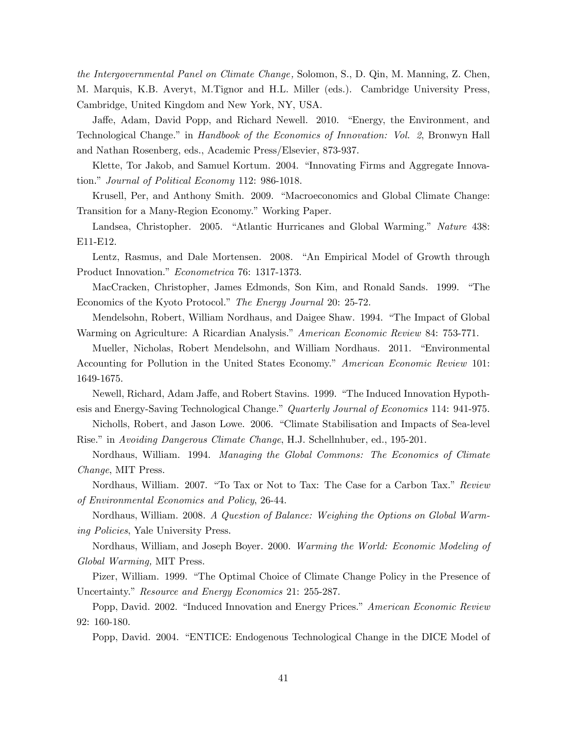the Intergovernmental Panel on Climate Change, Solomon, S., D. Qin, M. Manning, Z. Chen, M. Marquis, K.B. Averyt, M.Tignor and H.L. Miller (eds.). Cambridge University Press, Cambridge, United Kingdom and New York, NY, USA.

Jaffe, Adam, David Popp, and Richard Newell. 2010. "Energy, the Environment, and Technological Change." in Handbook of the Economics of Innovation: Vol. 2, Bronwyn Hall and Nathan Rosenberg, eds., Academic Press/Elsevier, 873-937.

Klette, Tor Jakob, and Samuel Kortum. 2004. "Innovating Firms and Aggregate Innovation." Journal of Political Economy 112: 986-1018.

Krusell, Per, and Anthony Smith. 2009. "Macroeconomics and Global Climate Change: Transition for a Many-Region Economy." Working Paper.

Landsea, Christopher. 2005. "Atlantic Hurricanes and Global Warming." Nature 438: E11-E12.

Lentz, Rasmus, and Dale Mortensen. 2008. "An Empirical Model of Growth through Product Innovation." *Econometrica* 76: 1317-1373.

MacCracken, Christopher, James Edmonds, Son Kim, and Ronald Sands. 1999. "The Economics of the Kyoto Protocol." The Energy Journal 20: 25-72.

Mendelsohn, Robert, William Nordhaus, and Daigee Shaw. 1994. "The Impact of Global Warming on Agriculture: A Ricardian Analysis." American Economic Review 84: 753-771.

Mueller, Nicholas, Robert Mendelsohn, and William Nordhaus. 2011. "Environmental Accounting for Pollution in the United States Economy." American Economic Review 101: 1649-1675.

Newell, Richard, Adam Jaffe, and Robert Stavins. 1999. "The Induced Innovation Hypothesis and Energy-Saving Technological Change." Quarterly Journal of Economics 114: 941-975.

Nicholls, Robert, and Jason Lowe. 2006. "Climate Stabilisation and Impacts of Sea-level Rise." in Avoiding Dangerous Climate Change, H.J. Schellnhuber, ed., 195-201.

Nordhaus, William. 1994. Managing the Global Commons: The Economics of Climate Change, MIT Press.

Nordhaus, William. 2007. "To Tax or Not to Tax: The Case for a Carbon Tax." Review of Environmental Economics and Policy, 26-44.

Nordhaus, William. 2008. A Question of Balance: Weighing the Options on Global Warming Policies, Yale University Press.

Nordhaus, William, and Joseph Boyer. 2000. Warming the World: Economic Modeling of Global Warming, MIT Press.

Pizer, William. 1999. "The Optimal Choice of Climate Change Policy in the Presence of Uncertainty." Resource and Energy Economics 21: 255-287.

Popp, David. 2002. "Induced Innovation and Energy Prices." American Economic Review 92: 160-180.

Popp, David. 2004. "ENTICE: Endogenous Technological Change in the DICE Model of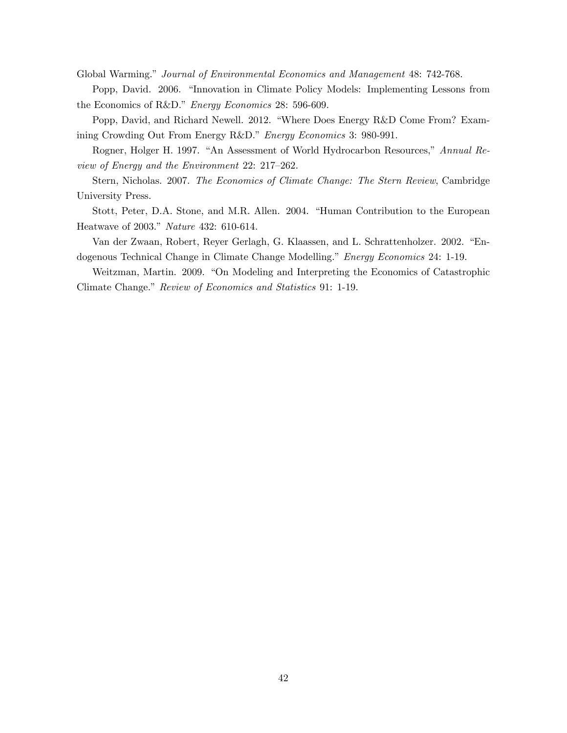Global Warming." Journal of Environmental Economics and Management 48: 742-768.

Popp, David. 2006. "Innovation in Climate Policy Models: Implementing Lessons from the Economics of R&D." Energy Economics 28: 596-609.

Popp, David, and Richard Newell. 2012. "Where Does Energy R&D Come From? Examining Crowding Out From Energy R&D." Energy Economics 3: 980-991.

Rogner, Holger H. 1997. "An Assessment of World Hydrocarbon Resources," Annual Review of Energy and the Environment  $22: 217-262$ .

Stern, Nicholas. 2007. The Economics of Climate Change: The Stern Review, Cambridge University Press.

Stott, Peter, D.A. Stone, and M.R. Allen. 2004. "Human Contribution to the European Heatwave of 2003." Nature 432: 610-614.

Van der Zwaan, Robert, Reyer Gerlagh, G. Klaassen, and L. Schrattenholzer. 2002. "Endogenous Technical Change in Climate Change Modelling." Energy Economics 24: 1-19.

Weitzman, Martin. 2009. "On Modeling and Interpreting the Economics of Catastrophic Climate Change." Review of Economics and Statistics 91: 1-19.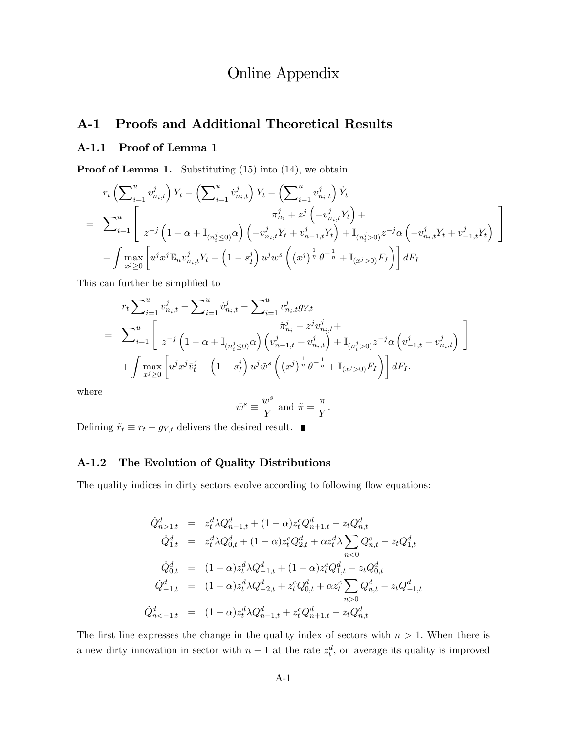# Online Appendix

# A-1 Proofs and Additional Theoretical Results

### A-1.1 Proof of Lemma 1

Proof of Lemma 1. Substituting (15) into (14), we obtain

$$
r_t \left( \sum_{i=1}^u v_{n_i,t}^j \right) Y_t - \left( \sum_{i=1}^u v_{n_i,t}^j \right) Y_t - \left( \sum_{i=1}^u v_{n_i,t}^j \right) Y_t
$$
  
\n
$$
= \sum_{i=1}^u \left[ \begin{array}{c} \pi_{n_i}^j + z^j \left( -v_{n_i,t}^j Y_t \right) + \\ z^{-j} \left( 1 - \alpha + \mathbb{I}_{(n_i^j \le 0)} \alpha \right) \left( -v_{n_i,t}^j Y_t + v_{n-1,t}^j Y_t \right) + \mathbb{I}_{(n_i^j > 0)} z^{-j} \alpha \left( -v_{n_i,t}^j Y_t + v_{-1,t}^j Y_t \right) \end{array} \right]
$$
  
\n
$$
+ \int \max_{x^j \ge 0} \left[ u^j x^j \mathbb{E}_n v_{n_i,t}^j Y_t - \left( 1 - s_1^j \right) u^j w^s \left( (x^j)^{\frac{1}{\eta}} \theta^{-\frac{1}{\eta}} + \mathbb{I}_{(x^j > 0)} F_I \right) \right] dF_I
$$

This can further be simplified to

$$
r_{t} \sum_{i=1}^{u} v_{n_{i},t}^{j} - \sum_{i=1}^{u} v_{n_{i},t}^{j} - \sum_{i=1}^{u} v_{n_{i},t}^{j} g_{Y,t}
$$
  
= 
$$
\sum_{i=1}^{u} \left[ z^{-j} \left( 1 - \alpha + \mathbb{I}_{(n_{i}^{j} \leq 0)} \alpha \right) \left( v_{n-1,t}^{j} - v_{n_{i},t}^{j} \right) + \mathbb{I}_{(n_{i}^{j} > 0)} z^{-j} \alpha \left( v_{-1,t}^{j} - v_{n_{i},t}^{j} \right) \right] + \int \max_{x^{j} \geq 0} \left[ u^{j} x^{j} \bar{v}_{t}^{j} - \left( 1 - s_{I}^{j} \right) u^{j} \tilde{w}^{s} \left( \left( x^{j} \right)^{\frac{1}{\eta}} \theta^{-\frac{1}{\eta}} + \mathbb{I}_{(x^{j} > 0)} F_{I} \right) \right] dF_{I}.
$$

where

$$
\tilde{w}^s \equiv \frac{w^s}{Y} \text{ and } \tilde{\pi} = \frac{\pi}{Y}.
$$

Defining  $\tilde{r}_t \equiv r_t - g_{Y,t}$  delivers the desired result.  $\blacksquare$ 

### A-1.2 The Evolution of Quality Distributions

The quality indices in dirty sectors evolve according to following flow equations:

$$
\dot{Q}_{n>1,t}^{d} = z_{t}^{d} \lambda Q_{n-1,t}^{d} + (1 - \alpha) z_{t}^{c} Q_{n+1,t}^{d} - z_{t} Q_{n,t}^{d}
$$
\n
$$
\dot{Q}_{1,t}^{d} = z_{t}^{d} \lambda Q_{0,t}^{d} + (1 - \alpha) z_{t}^{c} Q_{2,t}^{d} + \alpha z_{t}^{d} \lambda \sum_{n<0} Q_{n,t}^{c} - z_{t} Q_{1,t}^{d}
$$
\n
$$
\dot{Q}_{0,t}^{d} = (1 - \alpha) z_{t}^{d} \lambda Q_{-1,t}^{d} + (1 - \alpha) z_{t}^{c} Q_{1,t}^{d} - z_{t} Q_{0,t}^{d}
$$
\n
$$
\dot{Q}_{-1,t}^{d} = (1 - \alpha) z_{t}^{d} \lambda Q_{-2,t}^{d} + z_{t}^{c} Q_{0,t}^{d} + \alpha z_{t}^{c} \sum_{n>0} Q_{n,t}^{d} - z_{t} Q_{-1,t}^{d}
$$
\n
$$
\dot{Q}_{n<-1,t}^{d} = (1 - \alpha) z_{t}^{d} \lambda Q_{n-1,t}^{d} + z_{t}^{c} Q_{n+1,t}^{d} - z_{t} Q_{n,t}^{d}
$$

The first line expresses the change in the quality index of sectors with  $n > 1$ . When there is a new dirty innovation in sector with  $n-1$  at the rate  $z_t^d$ , on average its quality is improved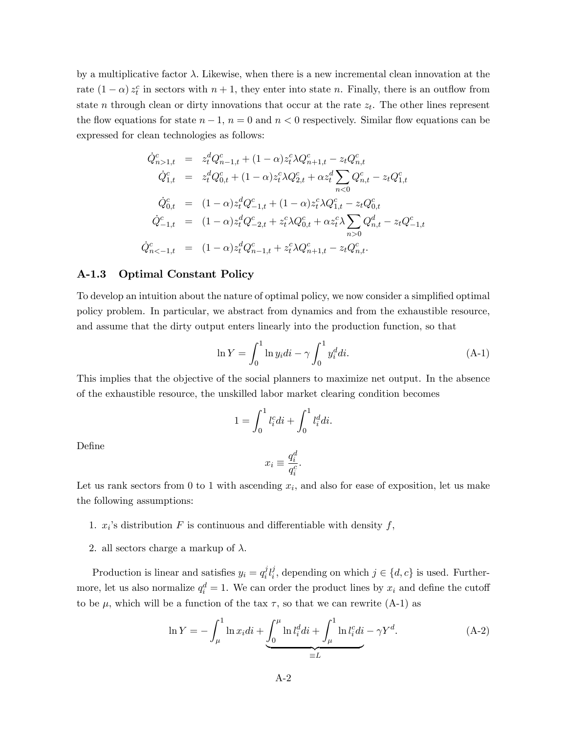by a multiplicative factor  $\lambda$ . Likewise, when there is a new incremental clean innovation at the rate  $(1 - \alpha) z_t^c$  in sectors with  $n + 1$ , they enter into state n. Finally, there is an outflow from state *n* through clean or dirty innovations that occur at the rate  $z_t$ . The other lines represent the flow equations for state  $n-1$ ,  $n=0$  and  $n<0$  respectively. Similar flow equations can be expressed for clean technologies as follows:

$$
\dot{Q}_{n>1,t}^c = z_t^d Q_{n-1,t}^c + (1-\alpha) z_t^c \lambda Q_{n+1,t}^c - z_t Q_{n,t}^c
$$
\n
$$
\dot{Q}_{1,t}^c = z_t^d Q_{0,t}^c + (1-\alpha) z_t^c \lambda Q_{2,t}^c + \alpha z_t^d \sum_{n<0} Q_{n,t}^c - z_t Q_{1,t}^c
$$
\n
$$
\dot{Q}_{0,t}^c = (1-\alpha) z_t^d Q_{-1,t}^c + (1-\alpha) z_t^c \lambda Q_{1,t}^c - z_t Q_{0,t}^c
$$
\n
$$
\dot{Q}_{-1,t}^c = (1-\alpha) z_t^d Q_{-2,t}^c + z_t^c \lambda Q_{0,t}^c + \alpha z_t^c \lambda \sum_{n>0} Q_{n,t}^d - z_t Q_{-1,t}^c
$$
\n
$$
\dot{Q}_{n<-1,t}^c = (1-\alpha) z_t^d Q_{n-1,t}^c + z_t^c \lambda Q_{n+1,t}^c - z_t Q_{n,t}^c.
$$

### A-1.3 Optimal Constant Policy

To develop an intuition about the nature of optimal policy, we now consider a simplified optimal policy problem. In particular, we abstract from dynamics and from the exhaustible resource, and assume that the dirty output enters linearly into the production function, so that

$$
\ln Y = \int_0^1 \ln y_i \, di - \gamma \int_0^1 y_i^d \, di. \tag{A-1}
$$

This implies that the objective of the social planners to maximize net output. In the absence of the exhaustible resource, the unskilled labor market clearing condition becomes

$$
1 = \int_0^1 l_i^c di + \int_0^1 l_i^d di.
$$

DeÖne

$$
x_i \equiv \frac{q_i^d}{q_i^c}.
$$

Let us rank sectors from 0 to 1 with ascending  $x_i$ , and also for ease of exposition, let us make the following assumptions:

- 1.  $x_i$ 's distribution F is continuous and differentiable with density f,
- 2. all sectors charge a markup of  $\lambda$ .

Production is linear and satisfies  $y_i = q_i^j$  $\frac{j}{i}l_{i}^{j}$  $i_j^j$ , depending on which  $j \in \{d, c\}$  is used. Furthermore, let us also normalize  $q_i^d = 1$ . We can order the product lines by  $x_i$  and define the cutoff to be  $\mu$ , which will be a function of the tax  $\tau$ , so that we can rewrite (A-1) as

$$
\ln Y = -\int_{\mu}^{1} \ln x_i di + \underbrace{\int_{0}^{\mu} \ln l_i^d di}_{\equiv L} + \underbrace{\int_{\mu}^{1} \ln l_i^c di}_{\equiv L} - \gamma Y^d. \tag{A-2}
$$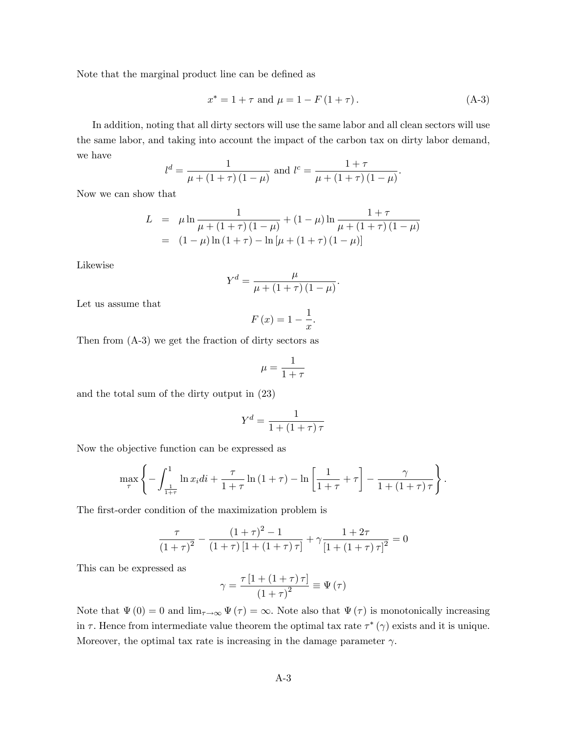Note that the marginal product line can be defined as

$$
x^* = 1 + \tau \text{ and } \mu = 1 - F(1 + \tau). \tag{A-3}
$$

In addition, noting that all dirty sectors will use the same labor and all clean sectors will use the same labor, and taking into account the impact of the carbon tax on dirty labor demand, we have

$$
l^{d} = \frac{1}{\mu + (1 + \tau)(1 - \mu)} \text{ and } l^{c} = \frac{1 + \tau}{\mu + (1 + \tau)(1 - \mu)}.
$$

Now we can show that

$$
L = \mu \ln \frac{1}{\mu + (1+\tau)(1-\mu)} + (1-\mu) \ln \frac{1+\tau}{\mu + (1+\tau)(1-\mu)}
$$
  
=  $(1-\mu) \ln (1+\tau) - \ln [\mu + (1+\tau)(1-\mu)]$ 

Likewise

$$
Y^{d} = \frac{\mu}{\mu + (1+\tau)(1-\mu)}.
$$

Let us assume that

$$
F\left(x\right) = 1 - \frac{1}{x}.
$$

Then from (A-3) we get the fraction of dirty sectors as

$$
\mu = \frac{1}{1+\tau}
$$

and the total sum of the dirty output in (23)

$$
Y^d = \frac{1}{1 + (1 + \tau)\tau}
$$

Now the objective function can be expressed as

$$
\max_{\tau} \left\{ -\int_{\frac{1}{1+\tau}}^{1} \ln x_i dt + \frac{\tau}{1+\tau} \ln (1+\tau) - \ln \left[ \frac{1}{1+\tau} + \tau \right] - \frac{\gamma}{1+(1+\tau)\tau} \right\}.
$$

The first-order condition of the maximization problem is

$$
\frac{\tau}{(1+\tau)^2} - \frac{(1+\tau)^2 - 1}{(1+\tau)\left[1 + (1+\tau)\tau\right]} + \gamma \frac{1+2\tau}{\left[1 + (1+\tau)\tau\right]^2} = 0
$$

This can be expressed as

$$
\gamma = \frac{\tau \left[1 + \left(1 + \tau\right)\tau\right]}{\left(1 + \tau\right)^2} \equiv \Psi\left(\tau\right)
$$

Note that  $\Psi(0) = 0$  and  $\lim_{\tau \to \infty} \Psi(\tau) = \infty$ . Note also that  $\Psi(\tau)$  is monotonically increasing in  $\tau$ . Hence from intermediate value theorem the optimal tax rate  $\tau^*(\gamma)$  exists and it is unique. Moreover, the optimal tax rate is increasing in the damage parameter  $\gamma$ .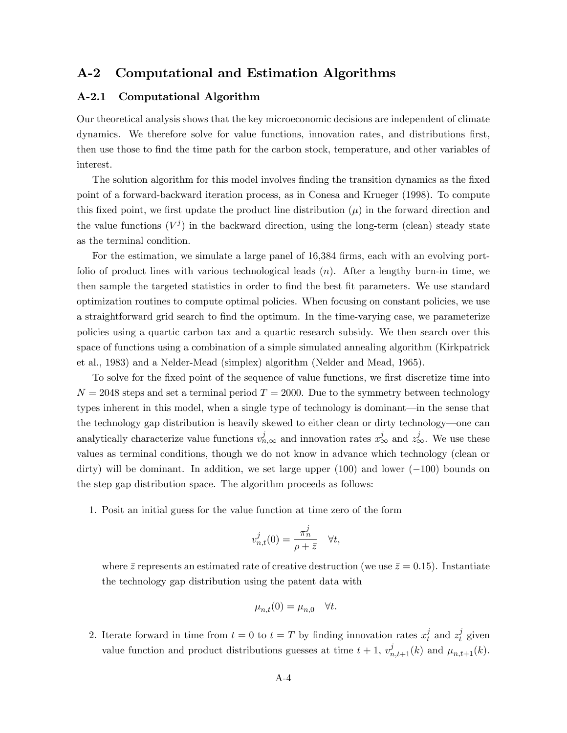# A-2 Computational and Estimation Algorithms

### A-2.1 Computational Algorithm

Our theoretical analysis shows that the key microeconomic decisions are independent of climate dynamics. We therefore solve for value functions, innovation rates, and distributions first, then use those to find the time path for the carbon stock, temperature, and other variables of interest.

The solution algorithm for this model involves finding the transition dynamics as the fixed point of a forward-backward iteration process, as in Conesa and Krueger (1998). To compute this fixed point, we first update the product line distribution  $(\mu)$  in the forward direction and the value functions  $(V<sup>j</sup>)$  in the backward direction, using the long-term (clean) steady state as the terminal condition.

For the estimation, we simulate a large panel of 16,384 firms, each with an evolving portfolio of product lines with various technological leads  $(n)$ . After a lengthy burn-in time, we then sample the targeted statistics in order to Önd the best Öt parameters. We use standard optimization routines to compute optimal policies. When focusing on constant policies, we use a straightforward grid search to find the optimum. In the time-varying case, we parameterize policies using a quartic carbon tax and a quartic research subsidy. We then search over this space of functions using a combination of a simple simulated annealing algorithm (Kirkpatrick et al., 1983) and a Nelder-Mead (simplex) algorithm (Nelder and Mead, 1965).

To solve for the fixed point of the sequence of value functions, we first discretize time into  $N = 2048$  steps and set a terminal period  $T = 2000$ . Due to the symmetry between technology types inherent in this model, when a single type of technology is dominant—in the sense that the technology gap distribution is heavily skewed to either clean or dirty technology—one can analytically characterize value functions  $v^j_{n,\infty}$  and innovation rates  $x^j_{\infty}$  and  $z^j_{\infty}$ . We use these values as terminal conditions, though we do not know in advance which technology (clean or dirty) will be dominant. In addition, we set large upper  $(100)$  and lower  $(-100)$  bounds on the step gap distribution space. The algorithm proceeds as follows:

1. Posit an initial guess for the value function at time zero of the form

$$
v_{n,t}^j(0) = \frac{\pi_n^j}{\rho + \bar{z}} \quad \forall t,
$$

where  $\bar{z}$  represents an estimated rate of creative destruction (we use  $\bar{z} = 0.15$ ). Instantiate the technology gap distribution using the patent data with

$$
\mu_{n,t}(0) = \mu_{n,0} \quad \forall t.
$$

2. Iterate forward in time from  $t = 0$  to  $t = T$  by finding innovation rates  $x_t^j$  $i_t$  and  $z_t^j$  $t$  given value function and product distributions guesses at time  $t + 1$ ,  $v_{n,t+1}^j(k)$  and  $\mu_{n,t+1}(k)$ .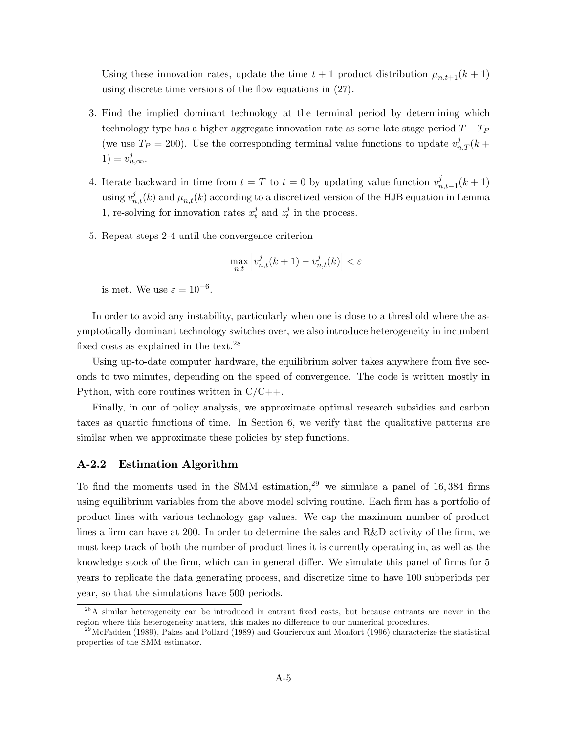Using these innovation rates, update the time  $t + 1$  product distribution  $\mu_{n,t+1}(k+1)$ using discrete time versions of the flow equations in  $(27)$ .

- 3. Find the implied dominant technology at the terminal period by determining which technology type has a higher aggregate innovation rate as some late stage period  $T - T_P$ (we use  $T_P = 200$ ). Use the corresponding terminal value functions to update  $v^j_{n,T}(k+1)$  $1) = v_{n,\infty}^j$ .
- 4. Iterate backward in time from  $t = T$  to  $t = 0$  by updating value function  $v_n^j$  $_{n,t-1}^{j}(k+1)$ using  $v_{n,t}^{j}(k)$  and  $\mu_{n,t}(k)$  according to a discretized version of the HJB equation in Lemma 1, re-solving for innovation rates  $x_t^j$  $i_t$  and  $z_t^j$  $t_i$  in the process.
- 5. Repeat steps 2-4 until the convergence criterion

$$
\max_{n,t} \left| v_{n,t}^j(k+1) - v_{n,t}^j(k) \right| < \varepsilon
$$

is met. We use  $\varepsilon = 10^{-6}$ .

In order to avoid any instability, particularly when one is close to a threshold where the asymptotically dominant technology switches over, we also introduce heterogeneity in incumbent fixed costs as explained in the text. $28$ 

Using up-to-date computer hardware, the equilibrium solver takes anywhere from five seconds to two minutes, depending on the speed of convergence. The code is written mostly in Python, with core routines written in C/C++.

Finally, in our of policy analysis, we approximate optimal research subsidies and carbon taxes as quartic functions of time. In Section 6, we verify that the qualitative patterns are similar when we approximate these policies by step functions.

### A-2.2 Estimation Algorithm

To find the moments used in the SMM estimation,  $29$  we simulate a panel of 16, 384 firms using equilibrium variables from the above model solving routine. Each firm has a portfolio of product lines with various technology gap values. We cap the maximum number of product lines a firm can have at 200. In order to determine the sales and  $R\&D$  activity of the firm, we must keep track of both the number of product lines it is currently operating in, as well as the knowledge stock of the firm, which can in general differ. We simulate this panel of firms for 5 years to replicate the data generating process, and discretize time to have 100 subperiods per year, so that the simulations have 500 periods.

 $^{28}$ A similar heterogeneity can be introduced in entrant fixed costs, but because entrants are never in the region where this heterogeneity matters, this makes no difference to our numerical procedures.

 $^{29}$ McFadden (1989), Pakes and Pollard (1989) and Gourieroux and Monfort (1996) characterize the statistical properties of the SMM estimator.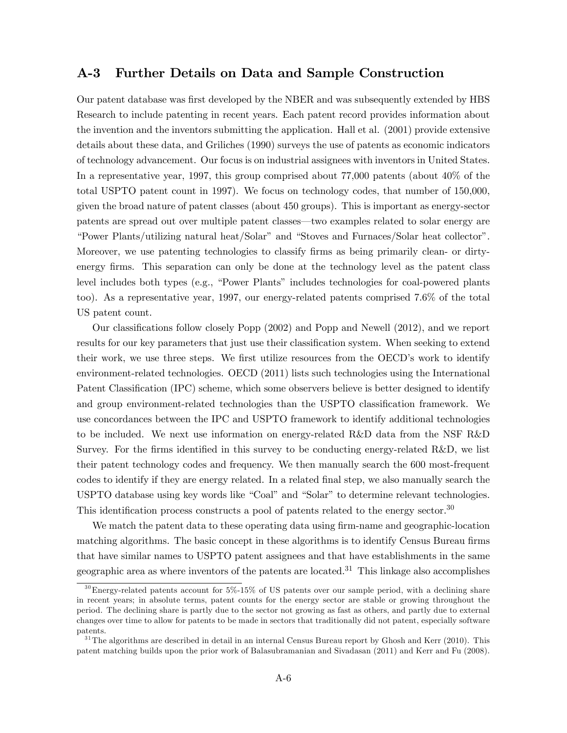# A-3 Further Details on Data and Sample Construction

Our patent database was first developed by the NBER and was subsequently extended by HBS Research to include patenting in recent years. Each patent record provides information about the invention and the inventors submitting the application. Hall et al. (2001) provide extensive details about these data, and Griliches (1990) surveys the use of patents as economic indicators of technology advancement. Our focus is on industrial assignees with inventors in United States. In a representative year, 1997, this group comprised about 77,000 patents (about 40% of the total USPTO patent count in 1997). We focus on technology codes, that number of 150,000, given the broad nature of patent classes (about 450 groups). This is important as energy-sector patents are spread out over multiple patent classes—two examples related to solar energy are *iPower Plants/utilizing natural heat/Solar*<sup>*n*</sup> and *iStoves and Furnaces/Solar heat collector*<sup>*n*</sup>. Moreover, we use patenting technologies to classify firms as being primarily clean- or dirtyenergy firms. This separation can only be done at the technology level as the patent class level includes both types (e.g.,  $Power$  Plants" includes technologies for coal-powered plants too). As a representative year, 1997, our energy-related patents comprised 7.6% of the total US patent count.

Our classiÖcations follow closely Popp (2002) and Popp and Newell (2012), and we report results for our key parameters that just use their classification system. When seeking to extend their work, we use three steps. We first utilize resources from the OECD's work to identify environment-related technologies. OECD (2011) lists such technologies using the International Patent Classification (IPC) scheme, which some observers believe is better designed to identify and group environment-related technologies than the USPTO classification framework. We use concordances between the IPC and USPTO framework to identify additional technologies to be included. We next use information on energy-related R&D data from the NSF R&D Survey. For the firms identified in this survey to be conducting energy-related  $R\&D$ , we list their patent technology codes and frequency. We then manually search the 600 most-frequent codes to identify if they are energy related. In a related Önal step, we also manually search the USPTO database using key words like "Coal" and "Solar" to determine relevant technologies. This identification process constructs a pool of patents related to the energy sector.<sup>30</sup>

We match the patent data to these operating data using firm-name and geographic-location matching algorithms. The basic concept in these algorithms is to identify Census Bureau firms that have similar names to USPTO patent assignees and that have establishments in the same geographic area as where inventors of the patents are located.<sup>31</sup> This linkage also accomplishes

<sup>&</sup>lt;sup>30</sup>Energy-related patents account for 5%-15% of US patents over our sample period, with a declining share in recent years; in absolute terms, patent counts for the energy sector are stable or growing throughout the period. The declining share is partly due to the sector not growing as fast as others, and partly due to external changes over time to allow for patents to be made in sectors that traditionally did not patent, especially software patents.

 $31$ The algorithms are described in detail in an internal Census Bureau report by Ghosh and Kerr (2010). This patent matching builds upon the prior work of Balasubramanian and Sivadasan (2011) and Kerr and Fu (2008).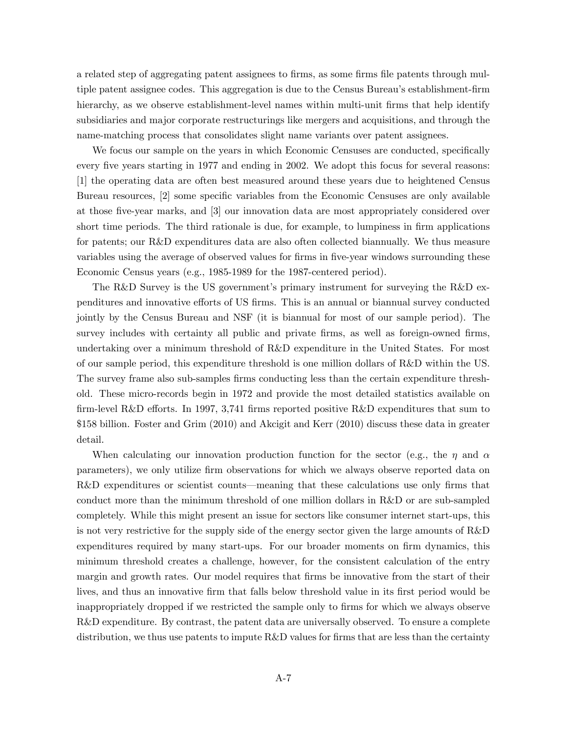a related step of aggregating patent assignees to firms, as some firms file patents through multiple patent assignee codes. This aggregation is due to the Census Bureau's establishment-firm hierarchy, as we observe establishment-level names within multi-unit firms that help identify subsidiaries and major corporate restructurings like mergers and acquisitions, and through the name-matching process that consolidates slight name variants over patent assignees.

We focus our sample on the years in which Economic Censuses are conducted, specifically every five years starting in 1977 and ending in 2002. We adopt this focus for several reasons: [1] the operating data are often best measured around these years due to heightened Census Bureau resources, [2] some specific variables from the Economic Censuses are only available at those Öve-year marks, and [3] our innovation data are most appropriately considered over short time periods. The third rationale is due, for example, to lumpiness in firm applications for patents; our R&D expenditures data are also often collected biannually. We thus measure variables using the average of observed values for firms in five-year windows surrounding these Economic Census years (e.g., 1985-1989 for the 1987-centered period).

The R&D Survey is the US government's primary instrument for surveying the R&D expenditures and innovative efforts of US firms. This is an annual or biannual survey conducted jointly by the Census Bureau and NSF (it is biannual for most of our sample period). The survey includes with certainty all public and private firms, as well as foreign-owned firms, undertaking over a minimum threshold of R&D expenditure in the United States. For most of our sample period, this expenditure threshold is one million dollars of R&D within the US. The survey frame also sub-samples firms conducting less than the certain expenditure threshold. These micro-records begin in 1972 and provide the most detailed statistics available on firm-level R&D efforts. In 1997, 3,741 firms reported positive R&D expenditures that sum to \$158 billion. Foster and Grim (2010) and Akcigit and Kerr (2010) discuss these data in greater detail.

When calculating our innovation production function for the sector (e.g., the  $\eta$  and  $\alpha$ parameters), we only utilize Örm observations for which we always observe reported data on  $R&D$  expenditures or scientist counts—meaning that these calculations use only firms that conduct more than the minimum threshold of one million dollars in R&D or are sub-sampled completely. While this might present an issue for sectors like consumer internet start-ups, this is not very restrictive for the supply side of the energy sector given the large amounts of R&D expenditures required by many start-ups. For our broader moments on firm dynamics, this minimum threshold creates a challenge, however, for the consistent calculation of the entry margin and growth rates. Our model requires that firms be innovative from the start of their lives, and thus an innovative firm that falls below threshold value in its first period would be inappropriately dropped if we restricted the sample only to firms for which we always observe R&D expenditure. By contrast, the patent data are universally observed. To ensure a complete distribution, we thus use patents to impute  $R\&D$  values for firms that are less than the certainty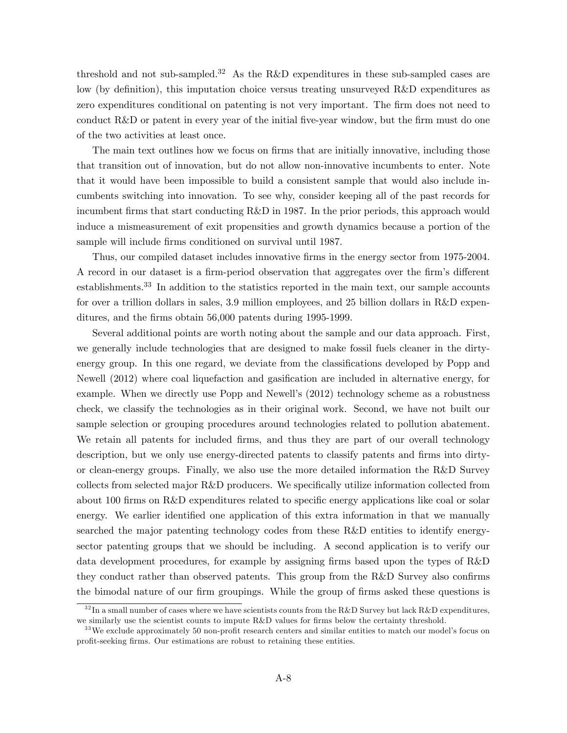threshold and not sub-sampled.<sup>32</sup> As the R&D expenditures in these sub-sampled cases are low (by definition), this imputation choice versus treating unsurveyed  $R&D$  expenditures as zero expenditures conditional on patenting is not very important. The firm does not need to conduct  $R&D$  or patent in every year of the initial five-year window, but the firm must do one of the two activities at least once.

The main text outlines how we focus on firms that are initially innovative, including those that transition out of innovation, but do not allow non-innovative incumbents to enter. Note that it would have been impossible to build a consistent sample that would also include incumbents switching into innovation. To see why, consider keeping all of the past records for incumbent firms that start conducting R&D in 1987. In the prior periods, this approach would induce a mismeasurement of exit propensities and growth dynamics because a portion of the sample will include firms conditioned on survival until 1987.

Thus, our compiled dataset includes innovative firms in the energy sector from 1975-2004. A record in our dataset is a firm-period observation that aggregates over the firm's different establishments.<sup>33</sup> In addition to the statistics reported in the main text, our sample accounts for over a trillion dollars in sales, 3.9 million employees, and 25 billion dollars in R&D expenditures, and the firms obtain 56,000 patents during 1995-1999.

Several additional points are worth noting about the sample and our data approach. First, we generally include technologies that are designed to make fossil fuels cleaner in the dirtyenergy group. In this one regard, we deviate from the classifications developed by Popp and Newell (2012) where coal liquefaction and gasification are included in alternative energy, for example. When we directly use Popp and Newell's (2012) technology scheme as a robustness check, we classify the technologies as in their original work. Second, we have not built our sample selection or grouping procedures around technologies related to pollution abatement. We retain all patents for included firms, and thus they are part of our overall technology description, but we only use energy-directed patents to classify patents and firms into dirtyor clean-energy groups. Finally, we also use the more detailed information the R&D Survey collects from selected major  $R&D$  producers. We specifically utilize information collected from about 100 firms on R&D expenditures related to specific energy applications like coal or solar energy. We earlier identified one application of this extra information in that we manually searched the major patenting technology codes from these R&D entities to identify energysector patenting groups that we should be including. A second application is to verify our data development procedures, for example by assigning firms based upon the types of  $R\&D$ they conduct rather than observed patents. This group from the  $R\&D$  Survey also confirms the bimodal nature of our firm groupings. While the group of firms asked these questions is

 $32 \text{ In a small number of cases where we have scientists counts from the R&D Survey but lack R&D experiment.}$ we similarly use the scientist counts to impute  $R&D$  values for firms below the certainty threshold.

 $33\,\text{We exclude approximately }50\,\text{non-profit research centers and similar entities to match our model's focus on}$ profit-seeking firms. Our estimations are robust to retaining these entities.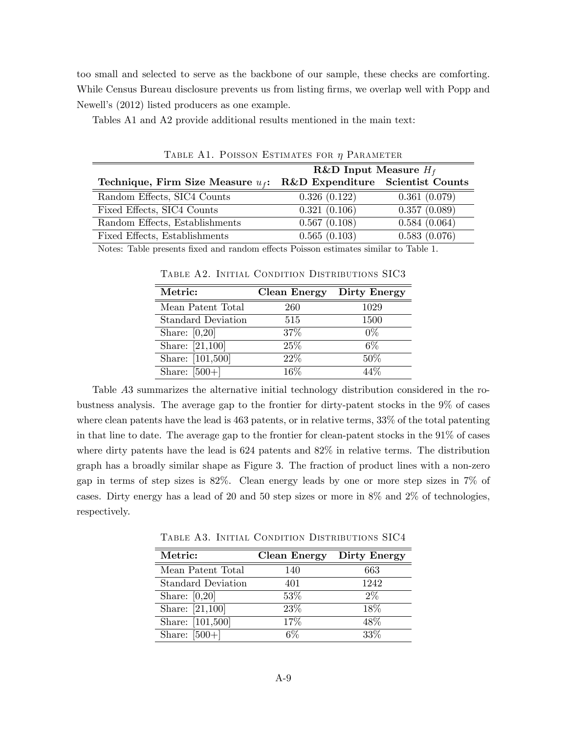too small and selected to serve as the backbone of our sample, these checks are comforting. While Census Bureau disclosure prevents us from listing firms, we overlap well with Popp and Newell's  $(2012)$  listed producers as one example.

Tables A1 and A2 provide additional results mentioned in the main text:

|                                      | TADDE III. I OBSON LOTIMATES FOR H I ARAMETER |              |  |  |  |  |
|--------------------------------------|-----------------------------------------------|--------------|--|--|--|--|
|                                      | R&D Input Measure $H_f$                       |              |  |  |  |  |
| Technique, Firm Size Measure $u_f$ : | R&D Expenditure Scientist Counts              |              |  |  |  |  |
| Random Effects, SIC4 Counts          | 0.326(0.122)                                  | 0.361(0.079) |  |  |  |  |
| Fixed Effects, SIC4 Counts           | 0.321(0.106)                                  | 0.357(0.089) |  |  |  |  |
| Random Effects, Establishments       | 0.567(0.108)                                  | 0.584(0.064) |  |  |  |  |
| Fixed Effects, Establishments        | 0.565(0.103)                                  | 0.583(0.076) |  |  |  |  |

TABLE A1. POISSON ESTIMATES FOR *n* PARAMETER

Notes: Table presents fixed and random effects Poisson estimates similar to Table 1.

| Metric:                   | <b>Clean Energy</b> | Dirty Energy |
|---------------------------|---------------------|--------------|
| Mean Patent Total         | 260                 | 1029         |
| <b>Standard Deviation</b> | 515                 | 1500         |
| Share: $[0,20]$           | 37%                 | $0\%$        |
| Share: [21,100]           | 25%                 | $6\%$        |
| Share: [101,500]          | 22\%                | 50%          |
| Share: $[500+]$           | 16%                 | 44%          |

Table A2. Initial Condition Distributions SIC3

Table A3 summarizes the alternative initial technology distribution considered in the robustness analysis. The average gap to the frontier for dirty-patent stocks in the 9% of cases where clean patents have the lead is 463 patents, or in relative terms, 33% of the total patenting in that line to date. The average gap to the frontier for clean-patent stocks in the 91% of cases where dirty patents have the lead is 624 patents and 82% in relative terms. The distribution graph has a broadly similar shape as Figure 3. The fraction of product lines with a non-zero gap in terms of step sizes is 82%. Clean energy leads by one or more step sizes in 7% of cases. Dirty energy has a lead of 20 and 50 step sizes or more in 8% and 2% of technologies, respectively.

Table A3. Initial Condition Distributions SIC4

| Metric:                   | Clean Energy | Dirty Energy |
|---------------------------|--------------|--------------|
| Mean Patent Total         | 140          | 663          |
| <b>Standard Deviation</b> | 401          | 1242         |
| Share: $[0,20]$           | $53\%$       | $2\%$        |
| Share: [21,100]           | 23\%         | 18\%         |
| Share: [101,500]          | 17%          | 48%          |
| Share: $[500+]$           | 6%           |              |